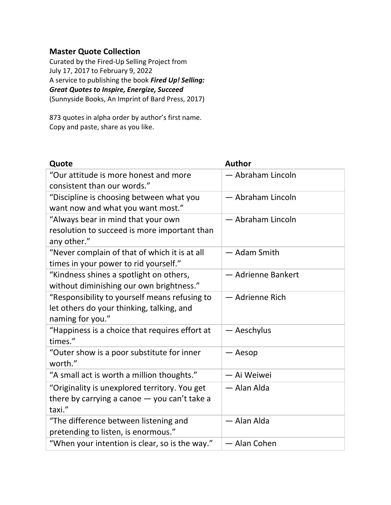## Master Quote Collection

Curated by the Fired-Up Selling Project from July 17, 2017 to February 9, 2022 A service to publishing the book Fired Up! Selling: Great Quotes to Inspire, Energize, Succeed (Sunnyside Books, An Imprint of Bard Press, 2017)

873 quotes in alpha order by author's first name. Copy and paste, share as you like.

| Quote                                                                                                          | <b>Author</b>      |
|----------------------------------------------------------------------------------------------------------------|--------------------|
| "Our attitude is more honest and more<br>consistent than our words."                                           | - Abraham Lincoln  |
| "Discipline is choosing between what you<br>want now and what you want most."                                  | - Abraham Lincoln  |
| "Always bear in mind that your own<br>resolution to succeed is more important than<br>any other."              | - Abraham Lincoln  |
| "Never complain of that of which it is at all<br>times in your power to rid yourself."                         | - Adam Smith       |
| "Kindness shines a spotlight on others,<br>without diminishing our own brightness."                            | - Adrienne Bankert |
| "Responsibility to yourself means refusing to<br>let others do your thinking, talking, and<br>naming for you." | - Adrienne Rich    |
| "Happiness is a choice that requires effort at<br>times."                                                      | — Aeschylus        |
| "Outer show is a poor substitute for inner<br>worth."                                                          | $-$ Aesop          |
| "A small act is worth a million thoughts."                                                                     | — Ai Weiwei        |
| "Originality is unexplored territory. You get<br>there by carrying a canoe - you can't take a<br>taxi."        | — Alan Alda        |
| "The difference between listening and<br>pretending to listen, is enormous."                                   | - Alan Alda        |
| "When your intention is clear, so is the way."                                                                 | - Alan Cohen       |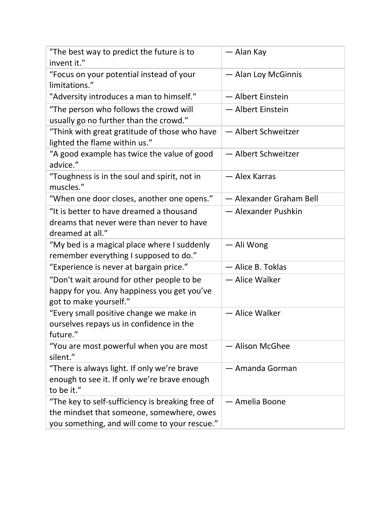| "The best way to predict the future is to<br>invent it."                                                                                       | — Alan Kay              |
|------------------------------------------------------------------------------------------------------------------------------------------------|-------------------------|
| "Focus on your potential instead of your<br>limitations."                                                                                      | - Alan Loy McGinnis     |
| "Adversity introduces a man to himself."                                                                                                       | - Albert Einstein       |
| "The person who follows the crowd will<br>usually go no further than the crowd."                                                               | - Albert Einstein       |
| "Think with great gratitude of those who have<br>lighted the flame within us."                                                                 | - Albert Schweitzer     |
| "A good example has twice the value of good<br>advice."                                                                                        | - Albert Schweitzer     |
| "Toughness is in the soul and spirit, not in<br>muscles."                                                                                      | — Alex Karras           |
| "When one door closes, another one opens."                                                                                                     | - Alexander Graham Bell |
| "It is better to have dreamed a thousand<br>dreams that never were than never to have<br>dreamed at all."                                      | - Alexander Pushkin     |
| "My bed is a magical place where I suddenly<br>remember everything I supposed to do."                                                          | — Ali Wong              |
| "Experience is never at bargain price."                                                                                                        | - Alice B. Toklas       |
| "Don't wait around for other people to be<br>happy for you. Any happiness you get you've<br>got to make yourself."                             | - Alice Walker          |
| "Every small positive change we make in<br>ourselves repays us in confidence in the<br>future."                                                | - Alice Walker          |
| "You are most powerful when you are most<br>silent."                                                                                           | — Alison McGhee         |
| "There is always light. If only we're brave<br>enough to see it. If only we're brave enough<br>to be it."                                      | — Amanda Gorman         |
| "The key to self-sufficiency is breaking free of<br>the mindset that someone, somewhere, owes<br>you something, and will come to your rescue." | — Amelia Boone          |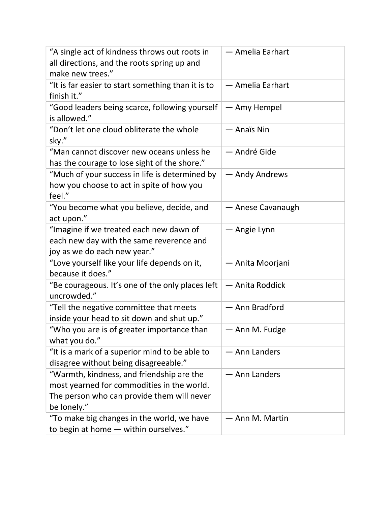| "A single act of kindness throws out roots in<br>all directions, and the roots spring up and<br>make new trees."                                     | - Amelia Earhart  |
|------------------------------------------------------------------------------------------------------------------------------------------------------|-------------------|
| "It is far easier to start something than it is to<br>finish it."                                                                                    | - Amelia Earhart  |
| "Good leaders being scarce, following yourself<br>is allowed."                                                                                       | — Amy Hempel      |
| "Don't let one cloud obliterate the whole<br>sky."                                                                                                   | — Anaïs Nin       |
| "Man cannot discover new oceans unless he<br>has the courage to lose sight of the shore."                                                            | — André Gide      |
| "Much of your success in life is determined by<br>how you choose to act in spite of how you<br>feel."                                                | — Andy Andrews    |
| "You become what you believe, decide, and<br>act upon."                                                                                              | — Anese Cavanaugh |
| "Imagine if we treated each new dawn of<br>each new day with the same reverence and<br>joy as we do each new year."                                  | — Angie Lynn      |
| "Love yourself like your life depends on it,<br>because it does."                                                                                    | — Anita Moorjani  |
| "Be courageous. It's one of the only places left<br>uncrowded."                                                                                      | - Anita Roddick   |
| "Tell the negative committee that meets<br>inside your head to sit down and shut up."                                                                | - Ann Bradford    |
| "Who you are is of greater importance than<br>what you do."                                                                                          | — Ann M. Fudge    |
| "It is a mark of a superior mind to be able to<br>disagree without being disagreeable."                                                              | - Ann Landers     |
| "Warmth, kindness, and friendship are the<br>most yearned for commodities in the world.<br>The person who can provide them will never<br>be lonely." | - Ann Landers     |
| "To make big changes in the world, we have<br>to begin at home - within ourselves."                                                                  | - Ann M. Martin   |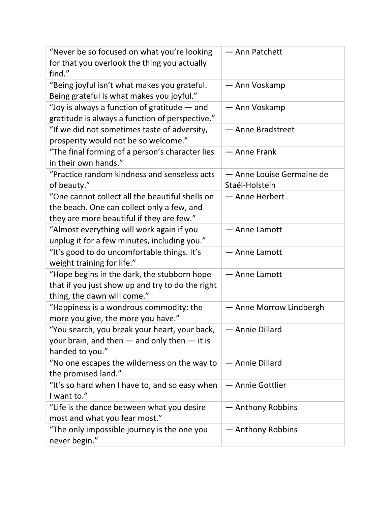| "Never be so focused on what you're looking<br>for that you overlook the thing you actually<br>find."                                      | - Ann Patchett                              |
|--------------------------------------------------------------------------------------------------------------------------------------------|---------------------------------------------|
| "Being joyful isn't what makes you grateful.<br>Being grateful is what makes you joyful."                                                  | - Ann Voskamp                               |
| "Joy is always a function of gratitude - and<br>gratitude is always a function of perspective."                                            | — Ann Voskamp                               |
| "If we did not sometimes taste of adversity,<br>prosperity would not be so welcome."                                                       | - Anne Bradstreet                           |
| "The final forming of a person's character lies<br>in their own hands."                                                                    | $-$ Anne Frank                              |
| "Practice random kindness and senseless acts<br>of beauty."                                                                                | - Anne Louise Germaine de<br>Staël-Holstein |
| "One cannot collect all the beautiful shells on<br>the beach. One can collect only a few, and<br>they are more beautiful if they are few." | - Anne Herbert                              |
| "Almost everything will work again if you<br>unplug it for a few minutes, including you."                                                  | - Anne Lamott                               |
| "It's good to do uncomfortable things. It's<br>weight training for life."                                                                  | - Anne Lamott                               |
| "Hope begins in the dark, the stubborn hope<br>that if you just show up and try to do the right<br>thing, the dawn will come."             | - Anne Lamott                               |
| "Happiness is a wondrous commodity: the<br>more you give, the more you have."                                                              | - Anne Morrow Lindbergh                     |
| "You search, you break your heart, your back,<br>your brain, and then $-$ and only then $-$ it is<br>handed to you."                       | — Annie Dillard                             |
| "No one escapes the wilderness on the way to<br>the promised land."                                                                        | - Annie Dillard                             |
| "It's so hard when I have to, and so easy when<br>I want to."                                                                              | - Annie Gottlier                            |
| "Life is the dance between what you desire<br>most and what you fear most."                                                                | — Anthony Robbins                           |
| "The only impossible journey is the one you<br>never begin."                                                                               | — Anthony Robbins                           |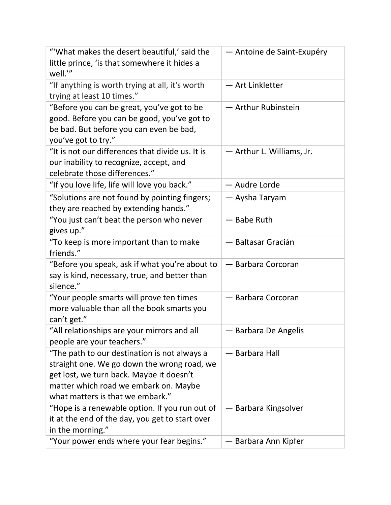| "'What makes the desert beautiful,' said the<br>little prince, 'is that somewhere it hides a<br>well."                                                                                                               | — Antoine de Saint-Exupéry |
|----------------------------------------------------------------------------------------------------------------------------------------------------------------------------------------------------------------------|----------------------------|
| "If anything is worth trying at all, it's worth<br>trying at least 10 times."                                                                                                                                        | - Art Linkletter           |
| "Before you can be great, you've got to be<br>good. Before you can be good, you've got to<br>be bad. But before you can even be bad,<br>you've got to try."                                                          | - Arthur Rubinstein        |
| "It is not our differences that divide us. It is<br>our inability to recognize, accept, and<br>celebrate those differences."                                                                                         | - Arthur L. Williams, Jr.  |
| "If you love life, life will love you back."                                                                                                                                                                         | - Audre Lorde              |
| "Solutions are not found by pointing fingers;<br>they are reached by extending hands."                                                                                                                               | - Aysha Taryam             |
| "You just can't beat the person who never<br>gives up."                                                                                                                                                              | - Babe Ruth                |
| "To keep is more important than to make<br>friends."                                                                                                                                                                 | — Baltasar Gracián         |
| "Before you speak, ask if what you're about to<br>say is kind, necessary, true, and better than<br>silence."                                                                                                         | - Barbara Corcoran         |
| "Your people smarts will prove ten times<br>more valuable than all the book smarts you<br>can't get."                                                                                                                | — Barbara Corcoran         |
| "All relationships are your mirrors and all<br>people are your teachers."                                                                                                                                            | — Barbara De Angelis       |
| "The path to our destination is not always a<br>straight one. We go down the wrong road, we<br>get lost, we turn back. Maybe it doesn't<br>matter which road we embark on. Maybe<br>what matters is that we embark." | - Barbara Hall             |
| "Hope is a renewable option. If you run out of<br>it at the end of the day, you get to start over<br>in the morning."                                                                                                | — Barbara Kingsolver       |
| "Your power ends where your fear begins."                                                                                                                                                                            | - Barbara Ann Kipfer       |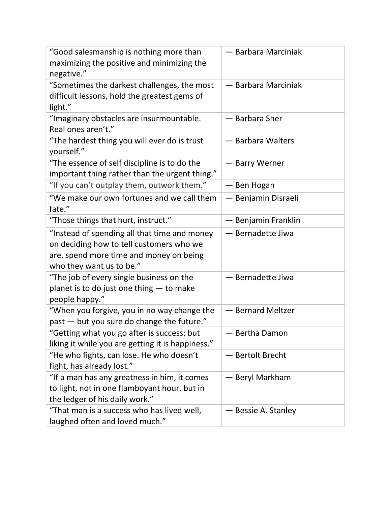| "Good salesmanship is nothing more than<br>maximizing the positive and minimizing the<br>negative."                                                             | - Barbara Marciniak |
|-----------------------------------------------------------------------------------------------------------------------------------------------------------------|---------------------|
| "Sometimes the darkest challenges, the most<br>difficult lessons, hold the greatest gems of<br>light."                                                          | - Barbara Marciniak |
| "Imaginary obstacles are insurmountable.<br>Real ones aren't."                                                                                                  | - Barbara Sher      |
| "The hardest thing you will ever do is trust<br>yourself."                                                                                                      | - Barbara Walters   |
| "The essence of self discipline is to do the<br>important thing rather than the urgent thing."                                                                  | - Barry Werner      |
| "If you can't outplay them, outwork them."                                                                                                                      | — Ben Hogan         |
| "We make our own fortunes and we call them<br>fate."                                                                                                            | — Benjamin Disraeli |
| "Those things that hurt, instruct."                                                                                                                             | - Benjamin Franklin |
| "Instead of spending all that time and money<br>on deciding how to tell customers who we<br>are, spend more time and money on being<br>who they want us to be." | - Bernadette Jiwa   |
| "The job of every single business on the<br>planet is to do just one thing $-$ to make<br>people happy."                                                        | - Bernadette Jiwa   |
| "When you forgive, you in no way change the<br>past - but you sure do change the future."                                                                       | - Bernard Meltzer   |
| "Getting what you go after is success; but<br>liking it while you are getting it is happiness."                                                                 | - Bertha Damon      |
| "He who fights, can lose. He who doesn't<br>fight, has already lost."                                                                                           | - Bertolt Brecht    |
| "If a man has any greatness in him, it comes<br>to light, not in one flamboyant hour, but in<br>the ledger of his daily work."                                  | — Beryl Markham     |
| "That man is a success who has lived well,<br>laughed often and loved much."                                                                                    | - Bessie A. Stanley |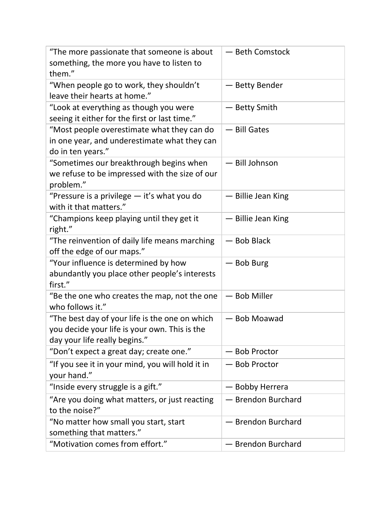| "The more passionate that someone is about<br>something, the more you have to listen to<br>them."                                | - Beth Comstock         |
|----------------------------------------------------------------------------------------------------------------------------------|-------------------------|
| "When people go to work, they shouldn't<br>leave their hearts at home."                                                          | - Betty Bender          |
| "Look at everything as though you were<br>seeing it either for the first or last time."                                          | — Betty Smith           |
| "Most people overestimate what they can do<br>in one year, and underestimate what they can<br>do in ten years."                  | - Bill Gates            |
| "Sometimes our breakthrough begins when<br>we refuse to be impressed with the size of our<br>problem."                           | - Bill Johnson          |
| "Pressure is a privilege $-$ it's what you do<br>with it that matters."                                                          | - Billie Jean King      |
| "Champions keep playing until they get it<br>right."                                                                             | — Billie Jean King      |
| "The reinvention of daily life means marching<br>off the edge of our maps."                                                      | - Bob Black             |
| "Your influence is determined by how<br>abundantly you place other people's interests<br>first."                                 | - Bob Burg              |
| "Be the one who creates the map, not the one<br>who follows it."                                                                 | - Bob Miller            |
| "The best day of your life is the one on which<br>you decide your life is your own. This is the<br>day your life really begins." | - Bob Moawad            |
| "Don't expect a great day; create one."                                                                                          | - Bob Proctor           |
| "If you see it in your mind, you will hold it in<br>your hand."                                                                  | - Bob Proctor           |
| "Inside every struggle is a gift."                                                                                               | — Bobby Herrera         |
| "Are you doing what matters, or just reacting<br>to the noise?"                                                                  | - Brendon Burchard      |
| "No matter how small you start, start<br>something that matters."                                                                | - Brendon Burchard      |
| "Motivation comes from effort."                                                                                                  | <b>Brendon Burchard</b> |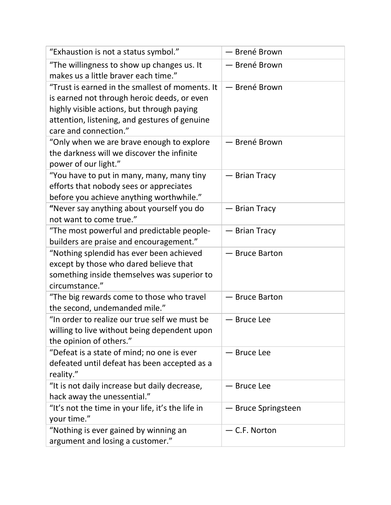| "Exhaustion is not a status symbol."                                                                                                                                                                                   | - Brené Brown       |
|------------------------------------------------------------------------------------------------------------------------------------------------------------------------------------------------------------------------|---------------------|
| "The willingness to show up changes us. It<br>makes us a little braver each time."                                                                                                                                     | - Brené Brown       |
| "Trust is earned in the smallest of moments. It<br>is earned not through heroic deeds, or even<br>highly visible actions, but through paying<br>attention, listening, and gestures of genuine<br>care and connection." | - Brené Brown       |
| "Only when we are brave enough to explore<br>the darkness will we discover the infinite<br>power of our light."                                                                                                        | - Brené Brown       |
| "You have to put in many, many, many tiny<br>efforts that nobody sees or appreciates<br>before you achieve anything worthwhile."                                                                                       | — Brian Tracy       |
| "Never say anything about yourself you do<br>not want to come true."                                                                                                                                                   | - Brian Tracy       |
| "The most powerful and predictable people-<br>builders are praise and encouragement."                                                                                                                                  | - Brian Tracy       |
| "Nothing splendid has ever been achieved<br>except by those who dared believe that<br>something inside themselves was superior to<br>circumstance."                                                                    | - Bruce Barton      |
| "The big rewards come to those who travel<br>the second, undemanded mile."                                                                                                                                             | - Bruce Barton      |
| "In order to realize our true self we must be<br>willing to live without being dependent upon<br>the opinion of others."                                                                                               | - Bruce Lee         |
| "Defeat is a state of mind; no one is ever<br>defeated until defeat has been accepted as a<br>reality."                                                                                                                | - Bruce Lee         |
| "It is not daily increase but daily decrease,<br>hack away the unessential."                                                                                                                                           | - Bruce Lee         |
| "It's not the time in your life, it's the life in<br>your time."                                                                                                                                                       | - Bruce Springsteen |
| "Nothing is ever gained by winning an<br>argument and losing a customer."                                                                                                                                              | - C.F. Norton       |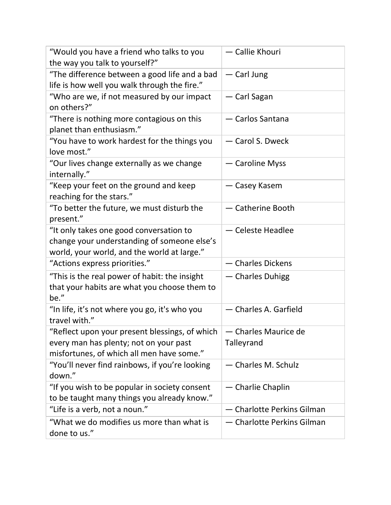| "Would you have a friend who talks to you<br>the way you talk to yourself?"                                                           | - Callie Khouri                    |
|---------------------------------------------------------------------------------------------------------------------------------------|------------------------------------|
| "The difference between a good life and a bad<br>life is how well you walk through the fire."                                         | - Carl Jung                        |
| "Who are we, if not measured by our impact<br>on others?"                                                                             | — Carl Sagan                       |
| "There is nothing more contagious on this<br>planet than enthusiasm."                                                                 | — Carlos Santana                   |
| "You have to work hardest for the things you<br>love most."                                                                           | - Carol S. Dweck                   |
| "Our lives change externally as we change<br>internally."                                                                             | - Caroline Myss                    |
| "Keep your feet on the ground and keep<br>reaching for the stars."                                                                    | — Casey Kasem                      |
| "To better the future, we must disturb the<br>present."                                                                               | - Catherine Booth                  |
| "It only takes one good conversation to<br>change your understanding of someone else's<br>world, your world, and the world at large." | - Celeste Headlee                  |
| "Actions express priorities."                                                                                                         | - Charles Dickens                  |
| "This is the real power of habit: the insight<br>that your habits are what you choose them to<br>be."                                 | - Charles Duhigg                   |
| "In life, it's not where you go, it's who you<br>travel with."                                                                        | - Charles A. Garfield              |
| "Reflect upon your present blessings, of which<br>every man has plenty; not on your past<br>misfortunes, of which all men have some." | - Charles Maurice de<br>Talleyrand |
| "You'll never find rainbows, if you're looking<br>down."                                                                              | - Charles M. Schulz                |
| "If you wish to be popular in society consent<br>to be taught many things you already know."                                          | - Charlie Chaplin                  |
| "Life is a verb, not a noun."                                                                                                         | — Charlotte Perkins Gilman         |
| "What we do modifies us more than what is<br>done to us."                                                                             | — Charlotte Perkins Gilman         |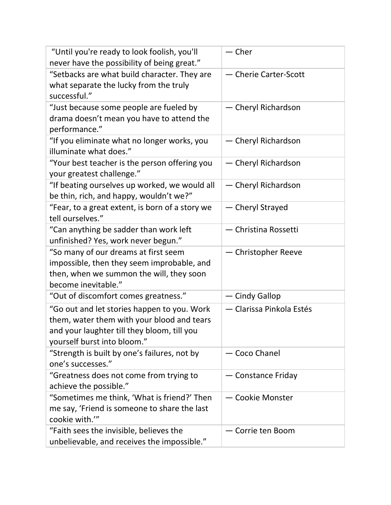| "Until you're ready to look foolish, you'll<br>never have the possibility of being great."                                                                              | — Cher                   |
|-------------------------------------------------------------------------------------------------------------------------------------------------------------------------|--------------------------|
| "Setbacks are what build character. They are<br>what separate the lucky from the truly<br>successful."                                                                  | - Cherie Carter-Scott    |
| "Just because some people are fueled by<br>drama doesn't mean you have to attend the<br>performance."                                                                   | - Cheryl Richardson      |
| "If you eliminate what no longer works, you<br>illuminate what does."                                                                                                   | - Cheryl Richardson      |
| "Your best teacher is the person offering you<br>your greatest challenge."                                                                                              | - Cheryl Richardson      |
| "If beating ourselves up worked, we would all<br>be thin, rich, and happy, wouldn't we?"                                                                                | - Cheryl Richardson      |
| "Fear, to a great extent, is born of a story we<br>tell ourselves."                                                                                                     | - Cheryl Strayed         |
| "Can anything be sadder than work left<br>unfinished? Yes, work never begun."                                                                                           | - Christina Rossetti     |
| "So many of our dreams at first seem<br>impossible, then they seem improbable, and<br>then, when we summon the will, they soon                                          | - Christopher Reeve      |
| become inevitable."                                                                                                                                                     |                          |
| "Out of discomfort comes greatness."                                                                                                                                    | — Cindy Gallop           |
| "Go out and let stories happen to you. Work<br>them, water them with your blood and tears<br>and your laughter till they bloom, till you<br>yourself burst into bloom." | - Clarissa Pinkola Estés |
| "Strength is built by one's failures, not by<br>one's successes."                                                                                                       | - Coco Chanel            |
| "Greatness does not come from trying to<br>achieve the possible."                                                                                                       | — Constance Friday       |
| "Sometimes me think, 'What is friend?' Then<br>me say, 'Friend is someone to share the last<br>cookie with."                                                            | - Cookie Monster         |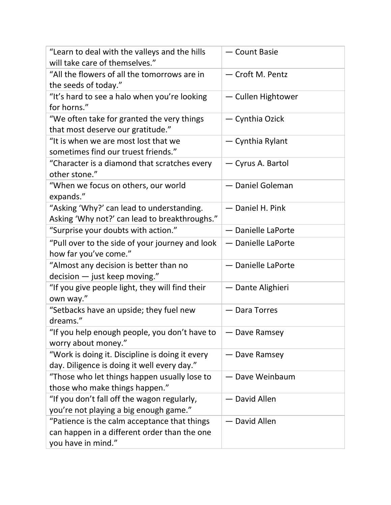| "Learn to deal with the valleys and the hills<br>will take care of themselves."                                    | - Count Basie      |
|--------------------------------------------------------------------------------------------------------------------|--------------------|
| "All the flowers of all the tomorrows are in<br>the seeds of today."                                               | - Croft M. Pentz   |
| "It's hard to see a halo when you're looking<br>for horns."                                                        | - Cullen Hightower |
| "We often take for granted the very things<br>that most deserve our gratitude."                                    | — Cynthia Ozick    |
| "It is when we are most lost that we<br>sometimes find our truest friends."                                        | - Cynthia Rylant   |
| "Character is a diamond that scratches every<br>other stone."                                                      | - Cyrus A. Bartol  |
| "When we focus on others, our world<br>expands."                                                                   | - Daniel Goleman   |
| "Asking 'Why?' can lead to understanding.<br>Asking 'Why not?' can lead to breakthroughs."                         | - Daniel H. Pink   |
| "Surprise your doubts with action."                                                                                | - Danielle LaPorte |
| "Pull over to the side of your journey and look<br>how far you've come."                                           | - Danielle LaPorte |
| "Almost any decision is better than no<br>decision - just keep moving."                                            | - Danielle LaPorte |
| "If you give people light, they will find their<br>own way."                                                       | — Dante Alighieri  |
| "Setbacks have an upside; they fuel new<br>dreams."                                                                | - Dara Torres      |
| "If you help enough people, you don't have to<br>worry about money."                                               | - Dave Ramsey      |
| "Work is doing it. Discipline is doing it every<br>day. Diligence is doing it well every day."                     | - Dave Ramsey      |
| "Those who let things happen usually lose to<br>those who make things happen."                                     | - Dave Weinbaum    |
| "If you don't fall off the wagon regularly,<br>you're not playing a big enough game."                              | - David Allen      |
| "Patience is the calm acceptance that things<br>can happen in a different order than the one<br>you have in mind." | — David Allen      |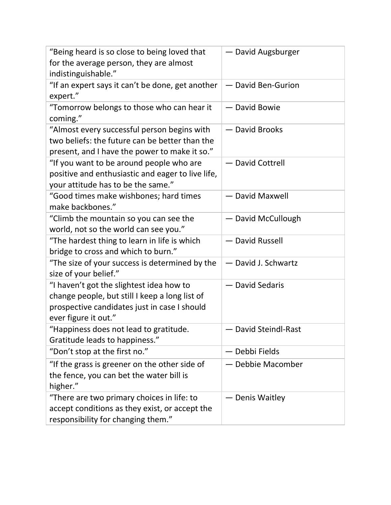| "Being heard is so close to being loved that<br>for the average person, they are almost<br>indistinguishable."                                                     | - David Augsburger   |
|--------------------------------------------------------------------------------------------------------------------------------------------------------------------|----------------------|
| "If an expert says it can't be done, get another<br>expert."                                                                                                       | - David Ben-Gurion   |
| "Tomorrow belongs to those who can hear it<br>coming."                                                                                                             | - David Bowie        |
| "Almost every successful person begins with<br>two beliefs: the future can be better than the<br>present, and I have the power to make it so."                     | - David Brooks       |
| "If you want to be around people who are<br>positive and enthusiastic and eager to live life,<br>your attitude has to be the same."                                | - David Cottrell     |
| "Good times make wishbones; hard times<br>make backbones."                                                                                                         | - David Maxwell      |
| "Climb the mountain so you can see the<br>world, not so the world can see you."                                                                                    | - David McCullough   |
| "The hardest thing to learn in life is which<br>bridge to cross and which to burn."                                                                                | - David Russell      |
| "The size of your success is determined by the<br>size of your belief."                                                                                            | - David J. Schwartz  |
| "I haven't got the slightest idea how to<br>change people, but still I keep a long list of<br>prospective candidates just in case I should<br>ever figure it out." | - David Sedaris      |
| "Happiness does not lead to gratitude.<br>Gratitude leads to happiness."                                                                                           | - David Steindl-Rast |
| "Don't stop at the first no."                                                                                                                                      | - Debbi Fields       |
| "If the grass is greener on the other side of<br>the fence, you can bet the water bill is<br>higher."                                                              | - Debbie Macomber    |
| "There are two primary choices in life: to<br>accept conditions as they exist, or accept the<br>responsibility for changing them."                                 | — Denis Waitley      |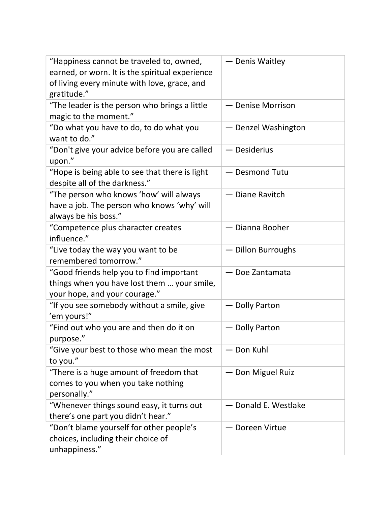| "Happiness cannot be traveled to, owned,<br>earned, or worn. It is the spiritual experience<br>of living every minute with love, grace, and<br>gratitude." | — Denis Waitley      |
|------------------------------------------------------------------------------------------------------------------------------------------------------------|----------------------|
| "The leader is the person who brings a little<br>magic to the moment."                                                                                     | - Denise Morrison    |
| "Do what you have to do, to do what you<br>want to do."                                                                                                    | - Denzel Washington  |
| "Don't give your advice before you are called<br>upon."                                                                                                    | — Desiderius         |
| "Hope is being able to see that there is light<br>despite all of the darkness."                                                                            | - Desmond Tutu       |
| "The person who knows 'how' will always<br>have a job. The person who knows 'why' will<br>always be his boss."                                             | - Diane Ravitch      |
| "Competence plus character creates<br>influence."                                                                                                          | - Dianna Booher      |
| "Live today the way you want to be<br>remembered tomorrow."                                                                                                | - Dillon Burroughs   |
| "Good friends help you to find important<br>things when you have lost them  your smile,<br>your hope, and your courage."                                   | - Doe Zantamata      |
| "If you see somebody without a smile, give<br>'em yours!"                                                                                                  | - Dolly Parton       |
| "Find out who you are and then do it on<br>purpose."                                                                                                       | - Dolly Parton       |
| "Give your best to those who mean the most<br>to you."                                                                                                     | - Don Kuhl           |
| "There is a huge amount of freedom that<br>comes to you when you take nothing<br>personally."                                                              | - Don Miguel Ruiz    |
| "Whenever things sound easy, it turns out<br>there's one part you didn't hear."                                                                            | - Donald E. Westlake |
| "Don't blame yourself for other people's<br>choices, including their choice of<br>unhappiness."                                                            | - Doreen Virtue      |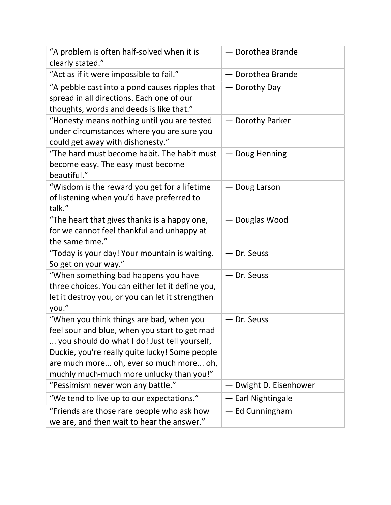| "A problem is often half-solved when it is<br>clearly stated."                                                                                                                                                                                                                     | - Dorothea Brande    |
|------------------------------------------------------------------------------------------------------------------------------------------------------------------------------------------------------------------------------------------------------------------------------------|----------------------|
| "Act as if it were impossible to fail."                                                                                                                                                                                                                                            | - Dorothea Brande    |
| "A pebble cast into a pond causes ripples that<br>spread in all directions. Each one of our<br>thoughts, words and deeds is like that."                                                                                                                                            | - Dorothy Day        |
| "Honesty means nothing until you are tested<br>under circumstances where you are sure you<br>could get away with dishonesty."                                                                                                                                                      | - Dorothy Parker     |
| "The hard must become habit. The habit must<br>become easy. The easy must become<br>beautiful."                                                                                                                                                                                    | - Doug Henning       |
| "Wisdom is the reward you get for a lifetime<br>of listening when you'd have preferred to<br>talk."                                                                                                                                                                                | - Doug Larson        |
| "The heart that gives thanks is a happy one,<br>for we cannot feel thankful and unhappy at<br>the same time."                                                                                                                                                                      | - Douglas Wood       |
| "Today is your day! Your mountain is waiting.<br>So get on your way."                                                                                                                                                                                                              | - Dr. Seuss          |
| "When something bad happens you have<br>three choices. You can either let it define you,<br>let it destroy you, or you can let it strengthen<br>you."                                                                                                                              | - Dr. Seuss          |
| "When you think things are bad, when you<br>feel sour and blue, when you start to get mad<br>you should do what I do! Just tell yourself,<br>Duckie, you're really quite lucky! Some people<br>are much more oh, ever so much more oh,<br>muchly much-much more unlucky than you!" | - Dr. Seuss          |
| "Pessimism never won any battle."                                                                                                                                                                                                                                                  | Dwight D. Eisenhower |
| "We tend to live up to our expectations."                                                                                                                                                                                                                                          | - Earl Nightingale   |
| "Friends are those rare people who ask how<br>we are, and then wait to hear the answer."                                                                                                                                                                                           | - Ed Cunningham      |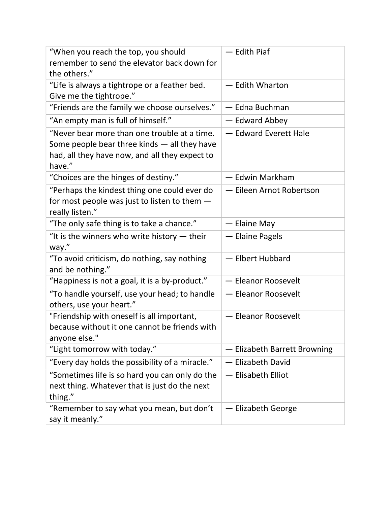| "When you reach the top, you should<br>remember to send the elevator back down for<br>the others."                                                         | - Edith Piaf                 |
|------------------------------------------------------------------------------------------------------------------------------------------------------------|------------------------------|
| "Life is always a tightrope or a feather bed.<br>Give me the tightrope."                                                                                   | - Edith Wharton              |
| "Friends are the family we choose ourselves."                                                                                                              | - Edna Buchman               |
| "An empty man is full of himself."                                                                                                                         | — Edward Abbey               |
| "Never bear more than one trouble at a time.<br>Some people bear three kinds $-$ all they have<br>had, all they have now, and all they expect to<br>have." | - Edward Everett Hale        |
| "Choices are the hinges of destiny."                                                                                                                       | - Edwin Markham              |
| "Perhaps the kindest thing one could ever do<br>for most people was just to listen to them $-$<br>really listen."                                          | - Eileen Arnot Robertson     |
| "The only safe thing is to take a chance."                                                                                                                 | - Elaine May                 |
| "It is the winners who write history $-$ their<br>way."                                                                                                    | — Elaine Pagels              |
| "To avoid criticism, do nothing, say nothing<br>and be nothing."                                                                                           | - Elbert Hubbard             |
| "Happiness is not a goal, it is a by-product."                                                                                                             | - Eleanor Roosevelt          |
| "To handle yourself, use your head; to handle<br>others, use your heart."                                                                                  | - Eleanor Roosevelt          |
| "Friendship with oneself is all important,<br>because without it one cannot be friends with<br>anyone else."                                               | - Eleanor Roosevelt          |
| "Light tomorrow with today."                                                                                                                               | - Elizabeth Barrett Browning |
| "Every day holds the possibility of a miracle."                                                                                                            | - Elizabeth David            |
| "Sometimes life is so hard you can only do the<br>next thing. Whatever that is just do the next<br>thing."                                                 | - Elisabeth Elliot           |
| "Remember to say what you mean, but don't<br>say it meanly."                                                                                               | - Elizabeth George           |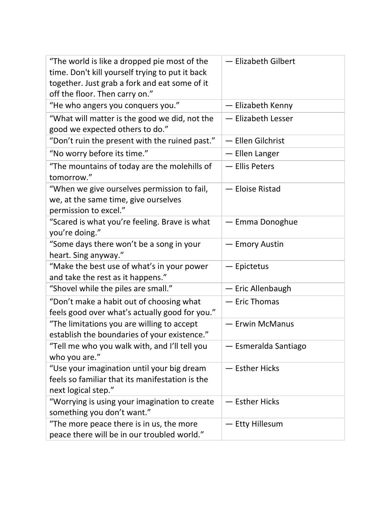| "The world is like a dropped pie most of the<br>time. Don't kill yourself trying to put it back<br>together. Just grab a fork and eat some of it<br>off the floor. Then carry on." | - Elizabeth Gilbert  |
|------------------------------------------------------------------------------------------------------------------------------------------------------------------------------------|----------------------|
| "He who angers you conquers you."                                                                                                                                                  | - Elizabeth Kenny    |
| "What will matter is the good we did, not the<br>good we expected others to do."                                                                                                   | - Elizabeth Lesser   |
| "Don't ruin the present with the ruined past."                                                                                                                                     | - Ellen Gilchrist    |
| "No worry before its time."                                                                                                                                                        | - Ellen Langer       |
| "The mountains of today are the molehills of<br>tomorrow."                                                                                                                         | - Ellis Peters       |
| "When we give ourselves permission to fail,<br>we, at the same time, give ourselves<br>permission to excel."                                                                       | — Eloise Ristad      |
| "Scared is what you're feeling. Brave is what<br>you're doing."                                                                                                                    | — Emma Donoghue      |
| "Some days there won't be a song in your<br>heart. Sing anyway."                                                                                                                   | - Emory Austin       |
| "Make the best use of what's in your power<br>and take the rest as it happens."                                                                                                    | $-$ Epictetus        |
| "Shovel while the piles are small."                                                                                                                                                | - Eric Allenbaugh    |
| "Don't make a habit out of choosing what<br>feels good over what's actually good for you."                                                                                         | - Eric Thomas        |
| "The limitations you are willing to accept<br>establish the boundaries of your existence."                                                                                         | - Erwin McManus      |
| "Tell me who you walk with, and I'll tell you<br>who you are."                                                                                                                     | - Esmeralda Santiago |
| "Use your imagination until your big dream<br>feels so familiar that its manifestation is the<br>next logical step."                                                               | - Esther Hicks       |
| "Worrying is using your imagination to create<br>something you don't want."                                                                                                        | - Esther Hicks       |
| "The more peace there is in us, the more<br>peace there will be in our troubled world."                                                                                            | - Etty Hillesum      |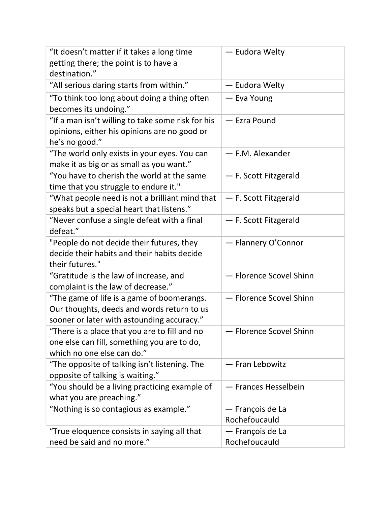| "It doesn't matter if it takes a long time                                                                                             | - Eudora Welty                    |
|----------------------------------------------------------------------------------------------------------------------------------------|-----------------------------------|
| getting there; the point is to have a                                                                                                  |                                   |
| destination."                                                                                                                          |                                   |
| "All serious daring starts from within."                                                                                               | - Eudora Welty                    |
| "To think too long about doing a thing often<br>becomes its undoing."                                                                  | - Eva Young                       |
| "If a man isn't willing to take some risk for his<br>opinions, either his opinions are no good or<br>he's no good."                    | - Ezra Pound                      |
| "The world only exists in your eyes. You can<br>make it as big or as small as you want."                                               | - F.M. Alexander                  |
| "You have to cherish the world at the same<br>time that you struggle to endure it."                                                    | - F. Scott Fitzgerald             |
| "What people need is not a brilliant mind that<br>speaks but a special heart that listens."                                            | - F. Scott Fitzgerald             |
| "Never confuse a single defeat with a final<br>defeat."                                                                                | - F. Scott Fitzgerald             |
| "People do not decide their futures, they<br>decide their habits and their habits decide<br>their futures."                            | - Flannery O'Connor               |
| "Gratitude is the law of increase, and<br>complaint is the law of decrease."                                                           | - Florence Scovel Shinn           |
| "The game of life is a game of boomerangs.<br>Our thoughts, deeds and words return to us<br>sooner or later with astounding accuracy." | - Florence Scovel Shinn           |
| "There is a place that you are to fill and no<br>one else can fill, something you are to do,<br>which no one else can do."             | - Florence Scovel Shinn           |
| "The opposite of talking isn't listening. The<br>opposite of talking is waiting."                                                      | - Fran Lebowitz                   |
| "You should be a living practicing example of<br>what you are preaching."                                                              | - Frances Hesselbein              |
| "Nothing is so contagious as example."                                                                                                 | — François de La<br>Rochefoucauld |
| "True eloquence consists in saying all that<br>need be said and no more."                                                              | — François de La<br>Rochefoucauld |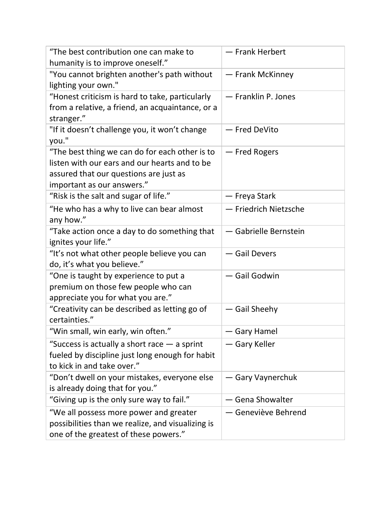| "The best contribution one can make to<br>humanity is to improve oneself."                                                                                              | - Frank Herbert       |
|-------------------------------------------------------------------------------------------------------------------------------------------------------------------------|-----------------------|
| "You cannot brighten another's path without<br>lighting your own."                                                                                                      | - Frank McKinney      |
| "Honest criticism is hard to take, particularly<br>from a relative, a friend, an acquaintance, or a<br>stranger."                                                       | - Franklin P. Jones   |
| "If it doesn't challenge you, it won't change<br>you."                                                                                                                  | - Fred DeVito         |
| "The best thing we can do for each other is to<br>listen with our ears and our hearts and to be<br>assured that our questions are just as<br>important as our answers." | - Fred Rogers         |
| "Risk is the salt and sugar of life."                                                                                                                                   | — Freya Stark         |
| "He who has a why to live can bear almost<br>any how."                                                                                                                  | - Friedrich Nietzsche |
| "Take action once a day to do something that<br>ignites your life."                                                                                                     | - Gabrielle Bernstein |
| "It's not what other people believe you can<br>do, it's what you believe."                                                                                              | - Gail Devers         |
| "One is taught by experience to put a<br>premium on those few people who can<br>appreciate you for what you are."                                                       | - Gail Godwin         |
| "Creativity can be described as letting go of<br>certainties."                                                                                                          | - Gail Sheehy         |
| "Win small, win early, win often."                                                                                                                                      | - Gary Hamel          |
| "Success is actually a short race $-$ a sprint<br>fueled by discipline just long enough for habit<br>to kick in and take over."                                         | <b>Gary Keller</b>    |
| "Don't dwell on your mistakes, everyone else<br>is already doing that for you."                                                                                         | — Gary Vaynerchuk     |
| "Giving up is the only sure way to fail."                                                                                                                               | Gena Showalter        |
| "We all possess more power and greater<br>possibilities than we realize, and visualizing is<br>one of the greatest of these powers."                                    | - Geneviève Behrend   |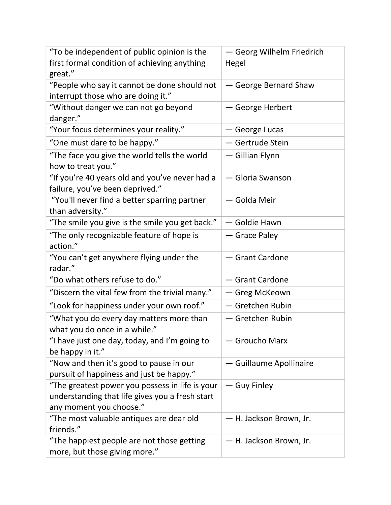| "To be independent of public opinion is the     | - Georg Wilhelm Friedrich |
|-------------------------------------------------|---------------------------|
| first formal condition of achieving anything    | Hegel                     |
| great."                                         |                           |
| "People who say it cannot be done should not    | - George Bernard Shaw     |
| interrupt those who are doing it."              |                           |
| "Without danger we can not go beyond            | – George Herbert          |
| danger."                                        |                           |
| "Your focus determines your reality."           | - George Lucas            |
| "One must dare to be happy."                    | - Gertrude Stein          |
| "The face you give the world tells the world    | - Gillian Flynn           |
| how to treat you."                              |                           |
| "If you're 40 years old and you've never had a  | - Gloria Swanson          |
| failure, you've been deprived."                 |                           |
| "You'll never find a better sparring partner    | — Golda Meir              |
| than adversity."                                |                           |
| "The smile you give is the smile you get back." | - Goldie Hawn             |
| "The only recognizable feature of hope is       | – Grace Paley             |
| action."                                        |                           |
| "You can't get anywhere flying under the        | - Grant Cardone           |
| radar."                                         |                           |
| "Do what others refuse to do."                  | — Grant Cardone           |
| "Discern the vital few from the trivial many."  | - Greg McKeown            |
| "Look for happiness under your own roof."       | - Gretchen Rubin          |
| "What you do every day matters more than        | - Gretchen Rubin          |
| what you do once in a while."                   |                           |
| "I have just one day, today, and I'm going to   | — Groucho Marx            |
| be happy in it."                                |                           |
| "Now and then it's good to pause in our         | - Guillaume Apollinaire   |
| pursuit of happiness and just be happy."        |                           |
| "The greatest power you possess in life is your | - Guy Finley              |
| understanding that life gives you a fresh start |                           |
| any moment you choose."                         |                           |
| "The most valuable antiques are dear old        | - H. Jackson Brown, Jr.   |
| friends."                                       |                           |
| "The happiest people are not those getting      | - H. Jackson Brown, Jr.   |
| more, but those giving more."                   |                           |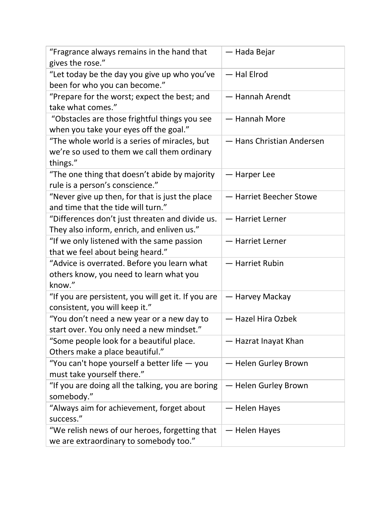| "Fragrance always remains in the hand that<br>gives the rose."                                           | — Hada Bejar              |
|----------------------------------------------------------------------------------------------------------|---------------------------|
| "Let today be the day you give up who you've<br>been for who you can become."                            | - Hal Elrod               |
| "Prepare for the worst; expect the best; and<br>take what comes."                                        | - Hannah Arendt           |
| "Obstacles are those frightful things you see<br>when you take your eyes off the goal."                  | — Hannah More             |
| "The whole world is a series of miracles, but<br>we're so used to them we call them ordinary<br>things." | - Hans Christian Andersen |
| "The one thing that doesn't abide by majority<br>rule is a person's conscience."                         | - Harper Lee              |
| "Never give up then, for that is just the place<br>and time that the tide will turn."                    | - Harriet Beecher Stowe   |
| "Differences don't just threaten and divide us.<br>They also inform, enrich, and enliven us."            | - Harriet Lerner          |
| "If we only listened with the same passion<br>that we feel about being heard."                           | - Harriet Lerner          |
| "Advice is overrated. Before you learn what<br>others know, you need to learn what you<br>know."         | - Harriet Rubin           |
| "If you are persistent, you will get it. If you are<br>consistent, you will keep it."                    | — Harvey Mackay           |
| "You don't need a new year or a new day to<br>start over. You only need a new mindset."                  | - Hazel Hira Ozbek        |
| "Some people look for a beautiful place.<br>Others make a place beautiful."                              | — Hazrat Inayat Khan      |
| "You can't hope yourself a better life $-$ you<br>must take yourself there."                             | - Helen Gurley Brown      |
| "If you are doing all the talking, you are boring<br>somebody."                                          | - Helen Gurley Brown      |
| "Always aim for achievement, forget about<br>success."                                                   | — Helen Hayes             |
| "We relish news of our heroes, forgetting that<br>we are extraordinary to somebody too."                 | — Helen Hayes             |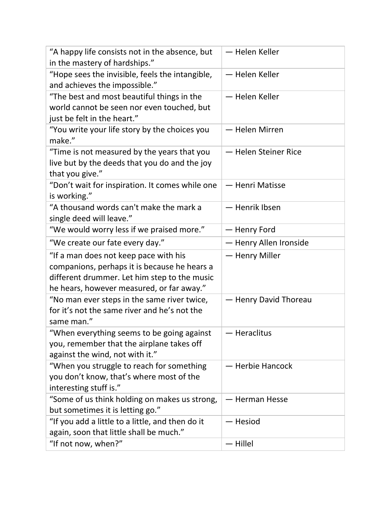| "A happy life consists not in the absence, but<br>in the mastery of hardships."                                                                                                    | - Helen Keller         |
|------------------------------------------------------------------------------------------------------------------------------------------------------------------------------------|------------------------|
| "Hope sees the invisible, feels the intangible,<br>and achieves the impossible."                                                                                                   | - Helen Keller         |
| "The best and most beautiful things in the<br>world cannot be seen nor even touched, but<br>just be felt in the heart."                                                            | - Helen Keller         |
| "You write your life story by the choices you<br>make."                                                                                                                            | - Helen Mirren         |
| "Time is not measured by the years that you<br>live but by the deeds that you do and the joy<br>that you give."                                                                    | - Helen Steiner Rice   |
| "Don't wait for inspiration. It comes while one<br>is working."                                                                                                                    | - Henri Matisse        |
| "A thousand words can't make the mark a<br>single deed will leave."                                                                                                                | - Henrik Ibsen         |
| "We would worry less if we praised more."                                                                                                                                          | - Henry Ford           |
| "We create our fate every day."                                                                                                                                                    | - Henry Allen Ironside |
| "If a man does not keep pace with his<br>companions, perhaps it is because he hears a<br>different drummer. Let him step to the music<br>he hears, however measured, or far away." | - Henry Miller         |
| "No man ever steps in the same river twice,<br>for it's not the same river and he's not the<br>same man."                                                                          | - Henry David Thoreau  |
| "When everything seems to be going against<br>you, remember that the airplane takes off<br>against the wind, not with it."                                                         | - Heraclitus           |
| "When you struggle to reach for something<br>you don't know, that's where most of the<br>interesting stuff is."                                                                    | - Herbie Hancock       |
| "Some of us think holding on makes us strong,<br>but sometimes it is letting go."                                                                                                  | - Herman Hesse         |
| "If you add a little to a little, and then do it<br>again, soon that little shall be much."                                                                                        | — Hesiod               |
| "If not now, when?"                                                                                                                                                                | — Hillel               |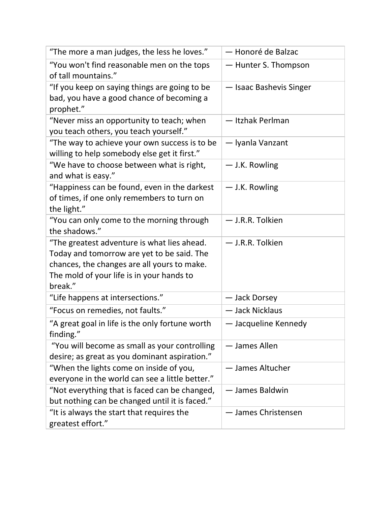| "The more a man judges, the less he loves."                                                                                                                                                      | - Honoré de Balzac      |
|--------------------------------------------------------------------------------------------------------------------------------------------------------------------------------------------------|-------------------------|
| "You won't find reasonable men on the tops<br>of tall mountains."                                                                                                                                | - Hunter S. Thompson    |
| "If you keep on saying things are going to be<br>bad, you have a good chance of becoming a<br>prophet."                                                                                          | - Isaac Bashevis Singer |
| "Never miss an opportunity to teach; when<br>you teach others, you teach yourself."                                                                                                              | - Itzhak Perlman        |
| "The way to achieve your own success is to be<br>willing to help somebody else get it first."                                                                                                    | — Iyanla Vanzant        |
| "We have to choose between what is right,<br>and what is easy."                                                                                                                                  | - J.K. Rowling          |
| "Happiness can be found, even in the darkest<br>of times, if one only remembers to turn on<br>the light."                                                                                        | - J.K. Rowling          |
| "You can only come to the morning through<br>the shadows."                                                                                                                                       | - J.R.R. Tolkien        |
| "The greatest adventure is what lies ahead.<br>Today and tomorrow are yet to be said. The<br>chances, the changes are all yours to make.<br>The mold of your life is in your hands to<br>break." | - J.R.R. Tolkien        |
| "Life happens at intersections."                                                                                                                                                                 | - Jack Dorsey           |
| "Focus on remedies, not faults."                                                                                                                                                                 | - Jack Nicklaus         |
| "A great goal in life is the only fortune worth<br>finding."                                                                                                                                     | — Jacqueline Kennedy    |
| "You will become as small as your controlling<br>desire; as great as you dominant aspiration."                                                                                                   | - James Allen           |
| "When the lights come on inside of you,<br>everyone in the world can see a little better."                                                                                                       | - James Altucher        |
| "Not everything that is faced can be changed,<br>but nothing can be changed until it is faced."                                                                                                  | - James Baldwin         |
| "It is always the start that requires the<br>greatest effort."                                                                                                                                   | - James Christensen     |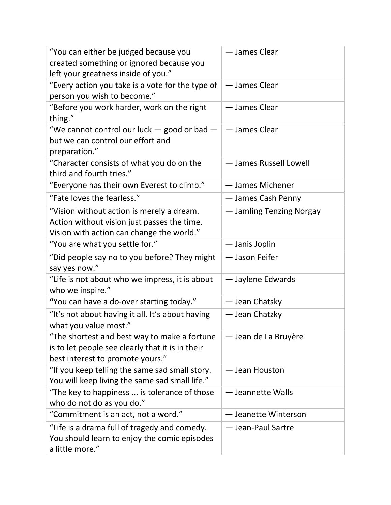| "You can either be judged because you            | — James Clear            |
|--------------------------------------------------|--------------------------|
| created something or ignored because you         |                          |
| left your greatness inside of you."              |                          |
| "Every action you take is a vote for the type of | - James Clear            |
| person you wish to become."                      |                          |
| "Before you work harder, work on the right       | - James Clear            |
| thing."                                          |                          |
| "We cannot control our luck $-$ good or bad $-$  | — James Clear            |
| but we can control our effort and                |                          |
| preparation."                                    |                          |
| "Character consists of what you do on the        | - James Russell Lowell   |
| third and fourth tries."                         |                          |
| "Everyone has their own Everest to climb."       | - James Michener         |
| "Fate loves the fearless."                       | - James Cash Penny       |
| "Vision without action is merely a dream.        | — Jamling Tenzing Norgay |
| Action without vision just passes the time.      |                          |
| Vision with action can change the world."        |                          |
| "You are what you settle for."                   | — Janis Joplin           |
| "Did people say no to you before? They might     | - Jason Feifer           |
| say yes now."                                    |                          |
| "Life is not about who we impress, it is about   | - Jaylene Edwards        |
| who we inspire."                                 |                          |
| "You can have a do-over starting today."         | - Jean Chatsky           |
| "It's not about having it all. It's about having | - Jean Chatzky           |
| what you value most."                            |                          |
| "The shortest and best way to make a fortune     | — Jean de La Bruyère     |
| is to let people see clearly that it is in their |                          |
| best interest to promote yours."                 |                          |
| "If you keep telling the same sad small story.   | - Jean Houston           |
| You will keep living the same sad small life."   |                          |
| "The key to happiness  is tolerance of those     | - Jeannette Walls        |
| who do not do as you do."                        |                          |
| "Commitment is an act, not a word."              | - Jeanette Winterson     |
| "Life is a drama full of tragedy and comedy.     | - Jean-Paul Sartre       |
| You should learn to enjoy the comic episodes     |                          |
| a little more."                                  |                          |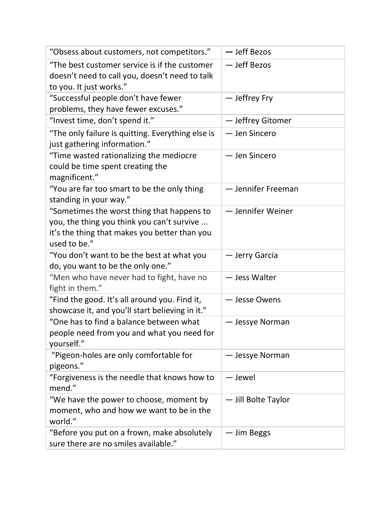| "Obsess about customers, not competitors."                                                                                                                | - Jeff Bezos        |
|-----------------------------------------------------------------------------------------------------------------------------------------------------------|---------------------|
| "The best customer service is if the customer<br>doesn't need to call you, doesn't need to talk                                                           | - Jeff Bezos        |
| to you. It just works."                                                                                                                                   |                     |
| "Successful people don't have fewer<br>problems, they have fewer excuses."                                                                                | — Jeffrey Fry       |
| "Invest time, don't spend it."                                                                                                                            | - Jeffrey Gitomer   |
| "The only failure is quitting. Everything else is<br>just gathering information."                                                                         | - Jen Sincero       |
| "Time wasted rationalizing the mediocre<br>could be time spent creating the<br>magnificent."                                                              | - Jen Sincero       |
| "You are far too smart to be the only thing<br>standing in your way."                                                                                     | - Jennifer Freeman  |
| "Sometimes the worst thing that happens to<br>you, the thing you think you can't survive<br>it's the thing that makes you better than you<br>used to be." | - Jennifer Weiner   |
| "You don't want to be the best at what you<br>do, you want to be the only one."                                                                           | — Jerry Garcia      |
| "Men who have never had to fight, have no<br>fight in them."                                                                                              | - Jess Walter       |
| "Find the good. It's all around you. Find it,<br>showcase it, and you'll start believing in it."                                                          | - Jesse Owens       |
| "One has to find a balance between what<br>people need from you and what you need for<br>yourself."                                                       | — Jessye Norman     |
| "Pigeon-holes are only comfortable for<br>pigeons."                                                                                                       | - Jessye Norman     |
| "Forgiveness is the needle that knows how to<br>mend."                                                                                                    | - Jewel             |
| "We have the power to choose, moment by<br>moment, who and how we want to be in the<br>world."                                                            | - Jill Bolte Taylor |
| "Before you put on a frown, make absolutely<br>sure there are no smiles available."                                                                       | — Jim Beggs         |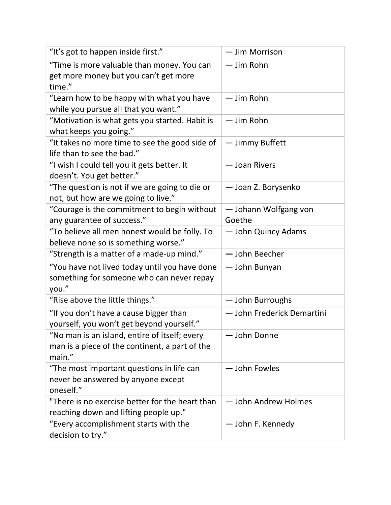| "It's got to happen inside first."                                                                        | - Jim Morrison                  |
|-----------------------------------------------------------------------------------------------------------|---------------------------------|
| "Time is more valuable than money. You can<br>get more money but you can't get more<br>time."             | - Jim Rohn                      |
| "Learn how to be happy with what you have<br>while you pursue all that you want."                         | - Jim Rohn                      |
| "Motivation is what gets you started. Habit is<br>what keeps you going."                                  | $-$ Jim Rohn                    |
| "It takes no more time to see the good side of<br>life than to see the bad."                              | - Jimmy Buffett                 |
| "I wish I could tell you it gets better. It<br>doesn't. You get better."                                  | - Joan Rivers                   |
| "The question is not if we are going to die or<br>not, but how are we going to live."                     | - Joan Z. Borysenko             |
| "Courage is the commitment to begin without<br>any guarantee of success."                                 | — Johann Wolfgang von<br>Goethe |
| "To believe all men honest would be folly. To<br>believe none so is something worse."                     | - John Quincy Adams             |
| "Strength is a matter of a made-up mind."                                                                 | - John Beecher                  |
| "You have not lived today until you have done<br>something for someone who can never repay<br>you."       | — John Bunyan                   |
| "Rise above the little things."                                                                           | - John Burroughs                |
| "If you don't have a cause bigger than<br>yourself, you won't get beyond yourself."                       | - John Frederick Demartini      |
| "No man is an island, entire of itself; every<br>man is a piece of the continent, a part of the<br>main." | - John Donne                    |
| "The most important questions in life can<br>never be answered by anyone except<br>oneself."              | - John Fowles                   |
| "There is no exercise better for the heart than<br>reaching down and lifting people up."                  | - John Andrew Holmes            |
| "Every accomplishment starts with the<br>decision to try."                                                | - John F. Kennedy               |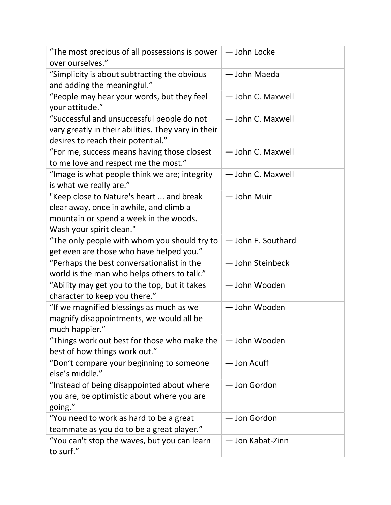| "The most precious of all possessions is power<br>over ourselves."                                                                                        | - John Locke       |
|-----------------------------------------------------------------------------------------------------------------------------------------------------------|--------------------|
| "Simplicity is about subtracting the obvious<br>and adding the meaningful."                                                                               | - John Maeda       |
| "People may hear your words, but they feel<br>your attitude."                                                                                             | - John C. Maxwell  |
| "Successful and unsuccessful people do not<br>vary greatly in their abilities. They vary in their<br>desires to reach their potential."                   | - John C. Maxwell  |
| "For me, success means having those closest<br>to me love and respect me the most."                                                                       | - John C. Maxwell  |
| "Image is what people think we are; integrity<br>is what we really are."                                                                                  | - John C. Maxwell  |
| "Keep close to Nature's heart  and break<br>clear away, once in awhile, and climb a<br>mountain or spend a week in the woods.<br>Wash your spirit clean." | - John Muir        |
| "The only people with whom you should try to<br>get even are those who have helped you."                                                                  | - John E. Southard |
| "Perhaps the best conversationalist in the<br>world is the man who helps others to talk."                                                                 | - John Steinbeck   |
| "Ability may get you to the top, but it takes<br>character to keep you there."                                                                            | - John Wooden      |
| "If we magnified blessings as much as we<br>magnify disappointments, we would all be<br>much happier."                                                    | - John Wooden      |
| "Things work out best for those who make the<br>best of how things work out."                                                                             | - John Wooden      |
| "Don't compare your beginning to someone<br>else's middle."                                                                                               | - Jon Acuff        |
| "Instead of being disappointed about where<br>you are, be optimistic about where you are<br>going."                                                       | - Jon Gordon       |
| "You need to work as hard to be a great<br>teammate as you do to be a great player."                                                                      | - Jon Gordon       |
| "You can't stop the waves, but you can learn<br>to surf."                                                                                                 | — Jon Kabat-Zinn   |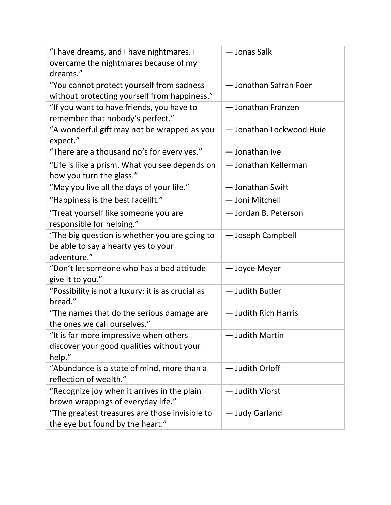| "I have dreams, and I have nightmares. I<br>overcame the nightmares because of my<br>dreams."       | - Jonas Salk             |
|-----------------------------------------------------------------------------------------------------|--------------------------|
| "You cannot protect yourself from sadness<br>without protecting yourself from happiness."           | - Jonathan Safran Foer   |
| "If you want to have friends, you have to<br>remember that nobody's perfect."                       | - Jonathan Franzen       |
| "A wonderful gift may not be wrapped as you<br>expect."                                             | - Jonathan Lockwood Huie |
| "There are a thousand no's for every yes."                                                          | - Jonathan Ive           |
| "Life is like a prism. What you see depends on<br>how you turn the glass."                          | - Jonathan Kellerman     |
| "May you live all the days of your life."                                                           | — Jonathan Swift         |
| "Happiness is the best facelift."                                                                   | - Joni Mitchell          |
| "Treat yourself like someone you are<br>responsible for helping."                                   | - Jordan B. Peterson     |
| "The big question is whether you are going to<br>be able to say a hearty yes to your<br>adventure." | — Joseph Campbell        |
| "Don't let someone who has a bad attitude<br>give it to you."                                       | — Joyce Meyer            |
| "Possibility is not a luxury; it is as crucial as<br>bread."                                        | - Judith Butler          |
| "The names that do the serious damage are<br>the ones we call ourselves."                           | - Judith Rich Harris     |
| "It is far more impressive when others<br>discover your good qualities without your<br>help."       | - Judith Martin          |
| "Abundance is a state of mind, more than a<br>reflection of wealth."                                | - Judith Orloff          |
| "Recognize joy when it arrives in the plain<br>brown wrappings of everyday life."                   | - Judith Viorst          |
| "The greatest treasures are those invisible to<br>the eye but found by the heart."                  | — Judy Garland           |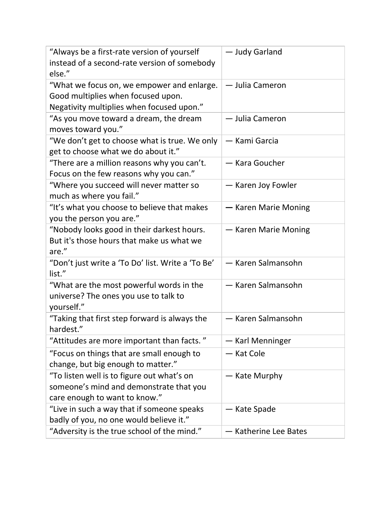| "Always be a first-rate version of yourself<br>instead of a second-rate version of somebody<br>else."                         | - Judy Garland        |
|-------------------------------------------------------------------------------------------------------------------------------|-----------------------|
| "What we focus on, we empower and enlarge.<br>Good multiplies when focused upon.<br>Negativity multiplies when focused upon." | - Julia Cameron       |
| "As you move toward a dream, the dream<br>moves toward you."                                                                  | — Julia Cameron       |
| "We don't get to choose what is true. We only<br>get to choose what we do about it."                                          | — Kami Garcia         |
| "There are a million reasons why you can't.<br>Focus on the few reasons why you can."                                         | - Kara Goucher        |
| "Where you succeed will never matter so<br>much as where you fail."                                                           | - Karen Joy Fowler    |
| "It's what you choose to believe that makes<br>you the person you are."                                                       | - Karen Marie Moning  |
| "Nobody looks good in their darkest hours.<br>But it's those hours that make us what we<br>are."                              | - Karen Marie Moning  |
| "Don't just write a 'To Do' list. Write a 'To Be'<br>list."                                                                   | - Karen Salmansohn    |
| "What are the most powerful words in the<br>universe? The ones you use to talk to<br>yourself."                               | - Karen Salmansohn    |
| "Taking that first step forward is always the<br>hardest."                                                                    | - Karen Salmansohn    |
| "Attitudes are more important than facts."                                                                                    | - Karl Menninger      |
| "Focus on things that are small enough to<br>change, but big enough to matter."                                               | - Kat Cole            |
| "To listen well is to figure out what's on<br>someone's mind and demonstrate that you<br>care enough to want to know."        | — Kate Murphy         |
| "Live in such a way that if someone speaks<br>badly of you, no one would believe it."                                         | — Kate Spade          |
| "Adversity is the true school of the mind."                                                                                   | - Katherine Lee Bates |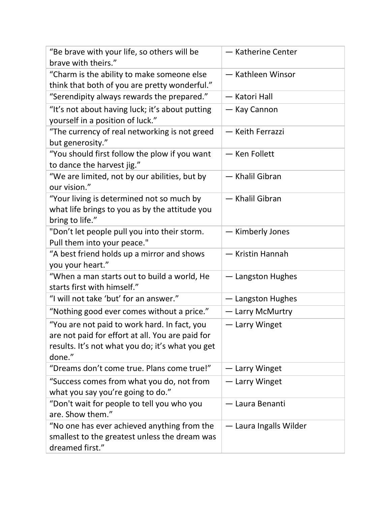| "Be brave with your life, so others will be<br>brave with theirs."                                                                                             | - Katherine Center     |
|----------------------------------------------------------------------------------------------------------------------------------------------------------------|------------------------|
| "Charm is the ability to make someone else<br>think that both of you are pretty wonderful."                                                                    | - Kathleen Winsor      |
| "Serendipity always rewards the prepared."                                                                                                                     | - Katori Hall          |
| "It's not about having luck; it's about putting<br>yourself in a position of luck."                                                                            | — Kay Cannon           |
| "The currency of real networking is not greed<br>but generosity."                                                                                              | - Keith Ferrazzi       |
| "You should first follow the plow if you want<br>to dance the harvest jig."                                                                                    | - Ken Follett          |
| "We are limited, not by our abilities, but by<br>our vision."                                                                                                  | - Khalil Gibran        |
| "Your living is determined not so much by<br>what life brings to you as by the attitude you<br>bring to life."                                                 | - Khalil Gibran        |
| "Don't let people pull you into their storm.<br>Pull them into your peace."                                                                                    | - Kimberly Jones       |
| "A best friend holds up a mirror and shows<br>you your heart."                                                                                                 | - Kristin Hannah       |
| "When a man starts out to build a world, He<br>starts first with himself."                                                                                     | — Langston Hughes      |
| "I will not take 'but' for an answer."                                                                                                                         | - Langston Hughes      |
| "Nothing good ever comes without a price."                                                                                                                     | - Larry McMurtry       |
| "You are not paid to work hard. In fact, you<br>are not paid for effort at all. You are paid for<br>results. It's not what you do; it's what you get<br>done." | - Larry Winget         |
| "Dreams don't come true. Plans come true!"                                                                                                                     | - Larry Winget         |
| "Success comes from what you do, not from<br>what you say you're going to do."                                                                                 | - Larry Winget         |
| "Don't wait for people to tell you who you<br>are. Show them."                                                                                                 | — Laura Benanti        |
| "No one has ever achieved anything from the<br>smallest to the greatest unless the dream was<br>dreamed first."                                                | - Laura Ingalls Wilder |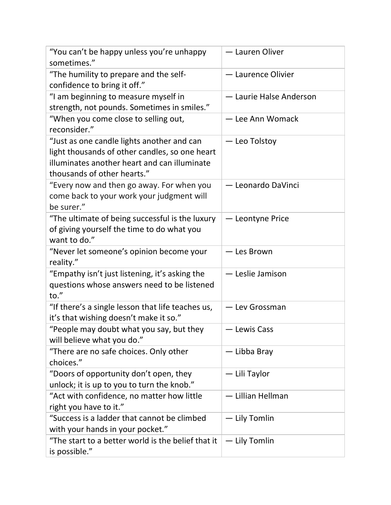| "You can't be happy unless you're unhappy<br>sometimes."                                                                                                                    | - Lauren Oliver         |
|-----------------------------------------------------------------------------------------------------------------------------------------------------------------------------|-------------------------|
| "The humility to prepare and the self-<br>confidence to bring it off."                                                                                                      | - Laurence Olivier      |
| "I am beginning to measure myself in<br>strength, not pounds. Sometimes in smiles."                                                                                         | - Laurie Halse Anderson |
| "When you come close to selling out,<br>reconsider."                                                                                                                        | - Lee Ann Womack        |
| "Just as one candle lights another and can<br>light thousands of other candles, so one heart<br>illuminates another heart and can illuminate<br>thousands of other hearts." | - Leo Tolstoy           |
| "Every now and then go away. For when you<br>come back to your work your judgment will<br>be surer."                                                                        | - Leonardo DaVinci      |
| "The ultimate of being successful is the luxury<br>of giving yourself the time to do what you<br>want to do."                                                               | - Leontyne Price        |
| "Never let someone's opinion become your<br>reality."                                                                                                                       | - Les Brown             |
| "Empathy isn't just listening, it's asking the<br>questions whose answers need to be listened<br>to."                                                                       | - Leslie Jamison        |
| "If there's a single lesson that life teaches us,<br>it's that wishing doesn't make it so."                                                                                 | - Lev Grossman          |
| "People may doubt what you say, but they<br>will believe what you do."                                                                                                      | — Lewis Cass            |
| "There are no safe choices. Only other<br>choices."                                                                                                                         | — Libba Bray            |
| "Doors of opportunity don't open, they<br>unlock; it is up to you to turn the knob."                                                                                        | — Lili Taylor           |
| "Act with confidence, no matter how little<br>right you have to it."                                                                                                        | - Lillian Hellman       |
| "Success is a ladder that cannot be climbed<br>with your hands in your pocket."                                                                                             | - Lily Tomlin           |
| "The start to a better world is the belief that it<br>is possible."                                                                                                         | - Lily Tomlin           |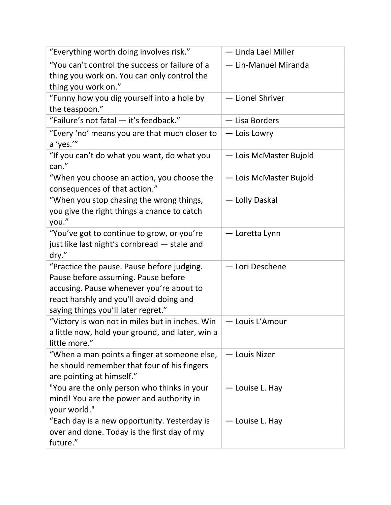| "Everything worth doing involves risk."                                                                                                                                                                          | - Linda Lael Miller    |
|------------------------------------------------------------------------------------------------------------------------------------------------------------------------------------------------------------------|------------------------|
| "You can't control the success or failure of a<br>thing you work on. You can only control the<br>thing you work on."                                                                                             | - Lin-Manuel Miranda   |
| "Funny how you dig yourself into a hole by<br>the teaspoon."                                                                                                                                                     | - Lionel Shriver       |
| "Failure's not fatal - it's feedback."                                                                                                                                                                           | - Lisa Borders         |
| "Every 'no' means you are that much closer to<br>a 'yes.'"                                                                                                                                                       | - Lois Lowry           |
| "If you can't do what you want, do what you<br>can."                                                                                                                                                             | - Lois McMaster Bujold |
| "When you choose an action, you choose the<br>consequences of that action."                                                                                                                                      | - Lois McMaster Bujold |
| "When you stop chasing the wrong things,<br>you give the right things a chance to catch<br>you."                                                                                                                 | - Lolly Daskal         |
| "You've got to continue to grow, or you're<br>just like last night's cornbread - stale and<br>dry."                                                                                                              | - Loretta Lynn         |
| "Practice the pause. Pause before judging.<br>Pause before assuming. Pause before<br>accusing. Pause whenever you're about to<br>react harshly and you'll avoid doing and<br>saying things you'll later regret." | - Lori Deschene        |
| "Victory is won not in miles but in inches. Win<br>a little now, hold your ground, and later, win a<br>little more."                                                                                             | - Louis L'Amour        |
| "When a man points a finger at someone else,<br>he should remember that four of his fingers<br>are pointing at himself."                                                                                         | - Louis Nizer          |
| "You are the only person who thinks in your<br>mind! You are the power and authority in<br>your world."                                                                                                          | - Louise L. Hay        |
| "Each day is a new opportunity. Yesterday is<br>over and done. Today is the first day of my<br>future."                                                                                                          | — Louise L. Hay        |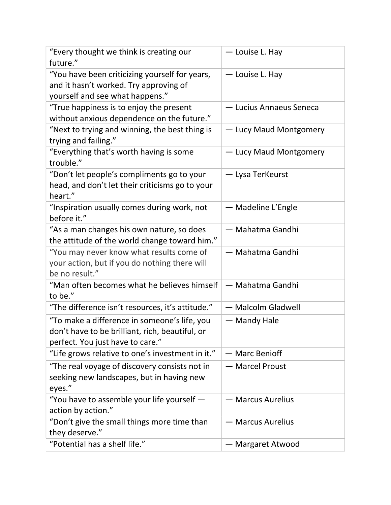| "Every thought we think is creating our<br>future."                                                                                 | - Louise L. Hay         |
|-------------------------------------------------------------------------------------------------------------------------------------|-------------------------|
| "You have been criticizing yourself for years,<br>and it hasn't worked. Try approving of<br>yourself and see what happens."         | - Louise L. Hay         |
| "True happiness is to enjoy the present<br>without anxious dependence on the future."                                               | — Lucius Annaeus Seneca |
| "Next to trying and winning, the best thing is<br>trying and failing."                                                              | - Lucy Maud Montgomery  |
| "Everything that's worth having is some<br>trouble."                                                                                | - Lucy Maud Montgomery  |
| "Don't let people's compliments go to your<br>head, and don't let their criticisms go to your<br>heart."                            | - Lysa TerKeurst        |
| "Inspiration usually comes during work, not<br>before it."                                                                          | - Madeline L'Engle      |
| "As a man changes his own nature, so does<br>the attitude of the world change toward him."                                          | — Mahatma Gandhi        |
| "You may never know what results come of<br>your action, but if you do nothing there will<br>be no result."                         | — Mahatma Gandhi        |
| "Man often becomes what he believes himself<br>to be."                                                                              | — Mahatma Gandhi        |
| "The difference isn't resources, it's attitude."                                                                                    | - Malcolm Gladwell      |
| "To make a difference in someone's life, you<br>don't have to be brilliant, rich, beautiful, or<br>perfect. You just have to care." | - Mandy Hale            |
| "Life grows relative to one's investment in it."                                                                                    | - Marc Benioff          |
| "The real voyage of discovery consists not in<br>seeking new landscapes, but in having new<br>eyes."                                | - Marcel Proust         |
| "You have to assemble your life yourself $-$<br>action by action."                                                                  | — Marcus Aurelius       |
| "Don't give the small things more time than<br>they deserve."                                                                       | - Marcus Aurelius       |
| "Potential has a shelf life."                                                                                                       | - Margaret Atwood       |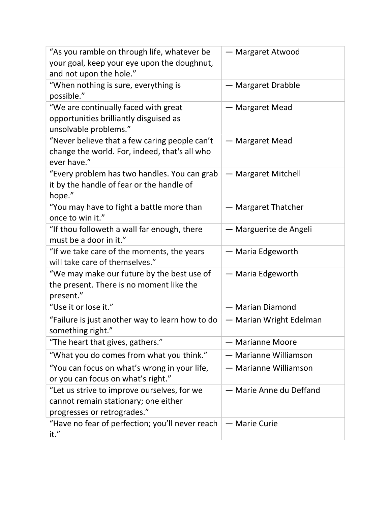| "As you ramble on through life, whatever be<br>your goal, keep your eye upon the doughnut,<br>and not upon the hole." | - Margaret Atwood       |
|-----------------------------------------------------------------------------------------------------------------------|-------------------------|
| "When nothing is sure, everything is<br>possible."                                                                    | - Margaret Drabble      |
| "We are continually faced with great<br>opportunities brilliantly disguised as<br>unsolvable problems."               | - Margaret Mead         |
| "Never believe that a few caring people can't<br>change the world. For, indeed, that's all who<br>ever have."         | - Margaret Mead         |
| "Every problem has two handles. You can grab<br>it by the handle of fear or the handle of<br>hope."                   | — Margaret Mitchell     |
| "You may have to fight a battle more than<br>once to win it."                                                         | - Margaret Thatcher     |
| "If thou followeth a wall far enough, there<br>must be a door in it."                                                 | - Marguerite de Angeli  |
| "If we take care of the moments, the years<br>will take care of themselves."                                          | - Maria Edgeworth       |
| "We may make our future by the best use of<br>the present. There is no moment like the<br>present."                   | - Maria Edgeworth       |
| "Use it or lose it."                                                                                                  | - Marian Diamond        |
| "Failure is just another way to learn how to do<br>something right."                                                  | — Marian Wright Edelman |
| "The heart that gives, gathers."                                                                                      | — Marianne Moore        |
| "What you do comes from what you think."                                                                              | - Marianne Williamson   |
| "You can focus on what's wrong in your life,<br>or you can focus on what's right."                                    | - Marianne Williamson   |
| "Let us strive to improve ourselves, for we<br>cannot remain stationary; one either<br>progresses or retrogrades."    | — Marie Anne du Deffand |
| "Have no fear of perfection; you'll never reach<br>it."                                                               | — Marie Curie           |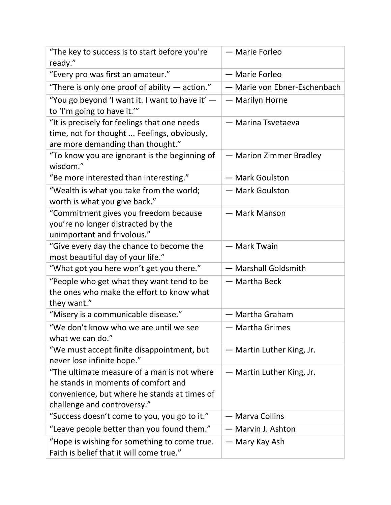| "The key to success is to start before you're<br>ready."                                                                                                          | — Marie Forleo               |
|-------------------------------------------------------------------------------------------------------------------------------------------------------------------|------------------------------|
| "Every pro was first an amateur."                                                                                                                                 | — Marie Forleo               |
| "There is only one proof of ability $-$ action."                                                                                                                  | - Marie von Ebner-Eschenbach |
| "You go beyond 'I want it. I want to have it' $-$<br>to 'I'm going to have it.""                                                                                  | - Marilyn Horne              |
| "It is precisely for feelings that one needs<br>time, not for thought  Feelings, obviously,<br>are more demanding than thought."                                  | - Marina Tsvetaeva           |
| "To know you are ignorant is the beginning of<br>wisdom."                                                                                                         | - Marion Zimmer Bradley      |
| "Be more interested than interesting."                                                                                                                            | - Mark Goulston              |
| "Wealth is what you take from the world;<br>worth is what you give back."                                                                                         | - Mark Goulston              |
| "Commitment gives you freedom because<br>you're no longer distracted by the<br>unimportant and frivolous."                                                        | — Mark Manson                |
| "Give every day the chance to become the<br>most beautiful day of your life."                                                                                     | - Mark Twain                 |
| "What got you here won't get you there."                                                                                                                          | - Marshall Goldsmith         |
| "People who get what they want tend to be<br>the ones who make the effort to know what<br>they want."                                                             | - Martha Beck                |
| "Misery is a communicable disease."                                                                                                                               | — Martha Graham              |
| "We don't know who we are until we see<br>what we can do."                                                                                                        | — Martha Grimes              |
| "We must accept finite disappointment, but<br>never lose infinite hope."                                                                                          | - Martin Luther King, Jr.    |
| "The ultimate measure of a man is not where<br>he stands in moments of comfort and<br>convenience, but where he stands at times of<br>challenge and controversy." | - Martin Luther King, Jr.    |
| "Success doesn't come to you, you go to it."                                                                                                                      | - Marva Collins              |
| "Leave people better than you found them."                                                                                                                        | - Marvin J. Ashton           |
| "Hope is wishing for something to come true.<br>Faith is belief that it will come true."                                                                          | — Mary Kay Ash               |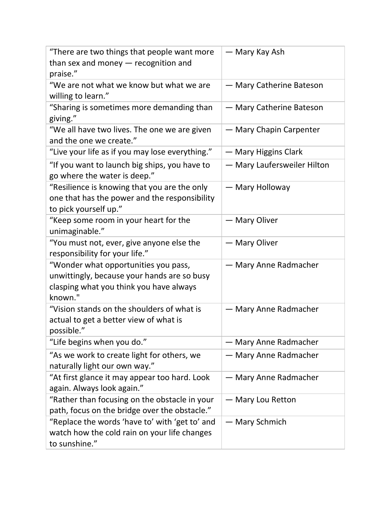| "There are two things that people want more                                                                                               | — Mary Kay Ash              |
|-------------------------------------------------------------------------------------------------------------------------------------------|-----------------------------|
| than sex and money $-$ recognition and                                                                                                    |                             |
| praise."<br>"We are not what we know but what we are                                                                                      | - Mary Catherine Bateson    |
| willing to learn."                                                                                                                        |                             |
| "Sharing is sometimes more demanding than                                                                                                 | — Mary Catherine Bateson    |
| giving."                                                                                                                                  |                             |
| "We all have two lives. The one we are given<br>and the one we create."                                                                   | — Mary Chapin Carpenter     |
| "Live your life as if you may lose everything."                                                                                           | - Mary Higgins Clark        |
| "If you want to launch big ships, you have to<br>go where the water is deep."                                                             | - Mary Laufersweiler Hilton |
| "Resilience is knowing that you are the only<br>one that has the power and the responsibility<br>to pick yourself up."                    | — Mary Holloway             |
| "Keep some room in your heart for the<br>unimaginable."                                                                                   | — Mary Oliver               |
| "You must not, ever, give anyone else the<br>responsibility for your life."                                                               | — Mary Oliver               |
| "Wonder what opportunities you pass,<br>unwittingly, because your hands are so busy<br>clasping what you think you have always<br>known." | — Mary Anne Radmacher       |
| "Vision stands on the shoulders of what is<br>actual to get a better view of what is<br>possible."                                        | — Mary Anne Radmacher       |
| "Life begins when you do."                                                                                                                | — Mary Anne Radmacher       |
| "As we work to create light for others, we<br>naturally light our own way."                                                               | — Mary Anne Radmacher       |
| "At first glance it may appear too hard. Look                                                                                             | — Mary Anne Radmacher       |
| again. Always look again."                                                                                                                |                             |
| "Rather than focusing on the obstacle in your<br>path, focus on the bridge over the obstacle."                                            | - Mary Lou Retton           |
| "Replace the words 'have to' with 'get to' and<br>watch how the cold rain on your life changes<br>to sunshine."                           | — Mary Schmich              |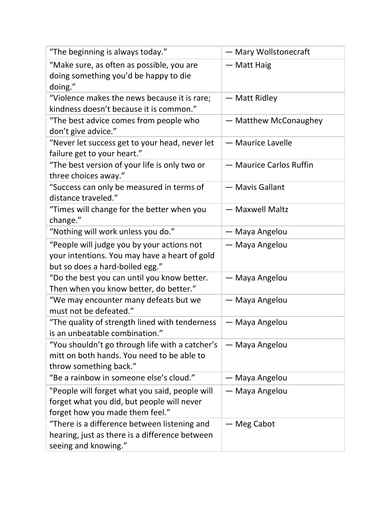| "The beginning is always today."                                                                                                | - Mary Wollstonecraft   |
|---------------------------------------------------------------------------------------------------------------------------------|-------------------------|
| "Make sure, as often as possible, you are<br>doing something you'd be happy to die<br>doing."                                   | — Matt Haig             |
| "Violence makes the news because it is rare;<br>kindness doesn't because it is common."                                         | — Matt Ridley           |
| "The best advice comes from people who<br>don't give advice."                                                                   | - Matthew McConaughey   |
| "Never let success get to your head, never let<br>failure get to your heart."                                                   | - Maurice Lavelle       |
| "The best version of your life is only two or<br>three choices away."                                                           | - Maurice Carlos Ruffin |
| "Success can only be measured in terms of<br>distance traveled."                                                                | - Mavis Gallant         |
| "Times will change for the better when you<br>change."                                                                          | - Maxwell Maltz         |
| "Nothing will work unless you do."                                                                                              | — Maya Angelou          |
| "People will judge you by your actions not<br>your intentions. You may have a heart of gold<br>but so does a hard-boiled egg."  | — Maya Angelou          |
| "Do the best you can until you know better.<br>Then when you know better, do better."                                           | — Maya Angelou          |
| "We may encounter many defeats but we<br>must not be defeated."                                                                 | — Maya Angelou          |
| "The quality of strength lined with tenderness<br>is an unbeatable combination."                                                | — Maya Angelou          |
| "You shouldn't go through life with a catcher's<br>mitt on both hands. You need to be able to<br>throw something back."         | — Maya Angelou          |
| "Be a rainbow in someone else's cloud."                                                                                         | — Maya Angelou          |
| "People will forget what you said, people will<br>forget what you did, but people will never<br>forget how you made them feel." | — Maya Angelou          |
| "There is a difference between listening and<br>hearing, just as there is a difference between<br>seeing and knowing."          | — Meg Cabot             |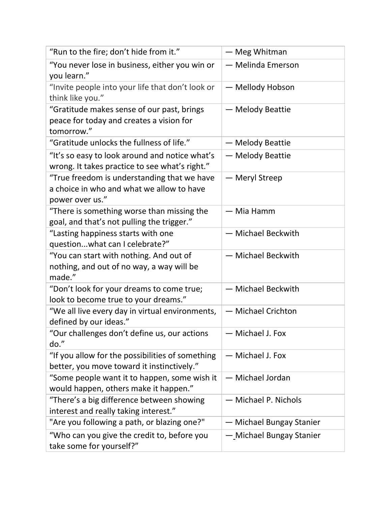| "Run to the fire; don't hide from it."                                                                      | - Meg Whitman            |
|-------------------------------------------------------------------------------------------------------------|--------------------------|
| "You never lose in business, either you win or<br>you learn."                                               | - Melinda Emerson        |
| "Invite people into your life that don't look or<br>think like you."                                        | - Mellody Hobson         |
| "Gratitude makes sense of our past, brings<br>peace for today and creates a vision for<br>tomorrow."        | - Melody Beattie         |
| "Gratitude unlocks the fullness of life."                                                                   | - Melody Beattie         |
| "It's so easy to look around and notice what's<br>wrong. It takes practice to see what's right."            | - Melody Beattie         |
| "True freedom is understanding that we have<br>a choice in who and what we allow to have<br>power over us." | - Meryl Streep           |
| "There is something worse than missing the<br>goal, and that's not pulling the trigger."                    | - Mia Hamm               |
| "Lasting happiness starts with one<br>questionwhat can I celebrate?"                                        | - Michael Beckwith       |
| "You can start with nothing. And out of<br>nothing, and out of no way, a way will be<br>made."              | - Michael Beckwith       |
| "Don't look for your dreams to come true;<br>look to become true to your dreams."                           | - Michael Beckwith       |
| "We all live every day in virtual environments,<br>defined by our ideas."                                   | - Michael Crichton       |
| "Our challenges don't define us, our actions<br>do."                                                        | - Michael J. Fox         |
| "If you allow for the possibilities of something<br>better, you move toward it instinctively."              | - Michael J. Fox         |
| "Some people want it to happen, some wish it<br>would happen, others make it happen."                       | - Michael Jordan         |
| "There's a big difference between showing<br>interest and really taking interest."                          | - Michael P. Nichols     |
| "Are you following a path, or blazing one?"                                                                 | — Michael Bungay Stanier |
| "Who can you give the credit to, before you<br>take some for yourself?"                                     | — Michael Bungay Stanier |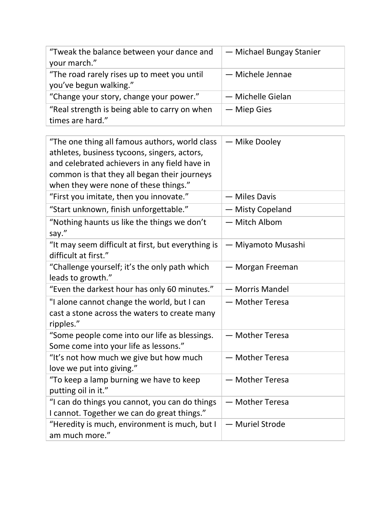| "Tweak the balance between your dance and<br>your march."             | - Michael Bungay Stanier |
|-----------------------------------------------------------------------|--------------------------|
| "The road rarely rises up to meet you until<br>you've begun walking." | - Michele Jennae         |
| "Change your story, change your power."                               | - Michelle Gielan        |
| "Real strength is being able to carry on when<br>times are hard."     | — Miep Gies              |

| "The one thing all famous authors, world class<br>athletes, business tycoons, singers, actors,<br>and celebrated achievers in any field have in<br>common is that they all began their journeys<br>when they were none of these things." | - Mike Dooley      |
|------------------------------------------------------------------------------------------------------------------------------------------------------------------------------------------------------------------------------------------|--------------------|
| "First you imitate, then you innovate."                                                                                                                                                                                                  | - Miles Davis      |
| "Start unknown, finish unforgettable."                                                                                                                                                                                                   | - Misty Copeland   |
| "Nothing haunts us like the things we don't<br>say."                                                                                                                                                                                     | - Mitch Albom      |
| "It may seem difficult at first, but everything is<br>difficult at first."                                                                                                                                                               | — Miyamoto Musashi |
| "Challenge yourself; it's the only path which<br>leads to growth."                                                                                                                                                                       | — Morgan Freeman   |
| "Even the darkest hour has only 60 minutes."                                                                                                                                                                                             | - Morris Mandel    |
| "I alone cannot change the world, but I can<br>cast a stone across the waters to create many<br>ripples."                                                                                                                                | - Mother Teresa    |
| "Some people come into our life as blessings.<br>Some come into your life as lessons."                                                                                                                                                   | - Mother Teresa    |
| "It's not how much we give but how much<br>love we put into giving."                                                                                                                                                                     | - Mother Teresa    |
| "To keep a lamp burning we have to keep<br>putting oil in it."                                                                                                                                                                           | - Mother Teresa    |
| "I can do things you cannot, you can do things<br>I cannot. Together we can do great things."                                                                                                                                            | - Mother Teresa    |
| "Heredity is much, environment is much, but I<br>am much more."                                                                                                                                                                          | - Muriel Strode    |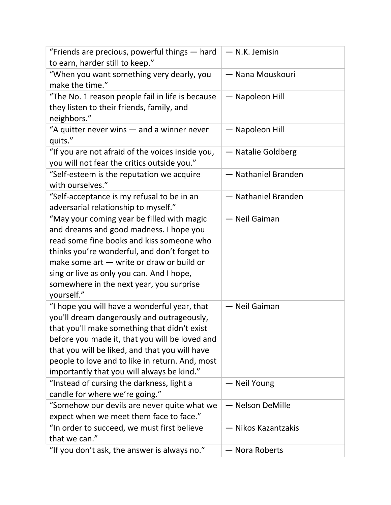| "Friends are precious, powerful things - hard<br>to earn, harder still to keep."                                                                                                                                                                                                                                                                | - N.K. Jemisin      |
|-------------------------------------------------------------------------------------------------------------------------------------------------------------------------------------------------------------------------------------------------------------------------------------------------------------------------------------------------|---------------------|
| "When you want something very dearly, you<br>make the time."                                                                                                                                                                                                                                                                                    | - Nana Mouskouri    |
| "The No. 1 reason people fail in life is because<br>they listen to their friends, family, and<br>neighbors."                                                                                                                                                                                                                                    | - Napoleon Hill     |
| "A quitter never wins - and a winner never<br>quits."                                                                                                                                                                                                                                                                                           | — Napoleon Hill     |
| "If you are not afraid of the voices inside you,<br>you will not fear the critics outside you."                                                                                                                                                                                                                                                 | - Natalie Goldberg  |
| "Self-esteem is the reputation we acquire<br>with ourselves."                                                                                                                                                                                                                                                                                   | - Nathaniel Branden |
| "Self-acceptance is my refusal to be in an<br>adversarial relationship to myself."                                                                                                                                                                                                                                                              | - Nathaniel Branden |
| "May your coming year be filled with magic<br>and dreams and good madness. I hope you<br>read some fine books and kiss someone who<br>thinks you're wonderful, and don't forget to<br>make some art - write or draw or build or<br>sing or live as only you can. And I hope,<br>somewhere in the next year, you surprise<br>yourself."          | - Neil Gaiman       |
| "I hope you will have a wonderful year, that<br>you'll dream dangerously and outrageously,<br>that you'll make something that didn't exist<br>before you made it, that you will be loved and<br>that you will be liked, and that you will have<br>people to love and to like in return. And, most<br>importantly that you will always be kind." | - Neil Gaiman       |
| "Instead of cursing the darkness, light a<br>candle for where we're going."                                                                                                                                                                                                                                                                     | - Neil Young        |
| "Somehow our devils are never quite what we<br>expect when we meet them face to face."                                                                                                                                                                                                                                                          | - Nelson DeMille    |
| "In order to succeed, we must first believe<br>that we can."                                                                                                                                                                                                                                                                                    | - Nikos Kazantzakis |
| "If you don't ask, the answer is always no."                                                                                                                                                                                                                                                                                                    | - Nora Roberts      |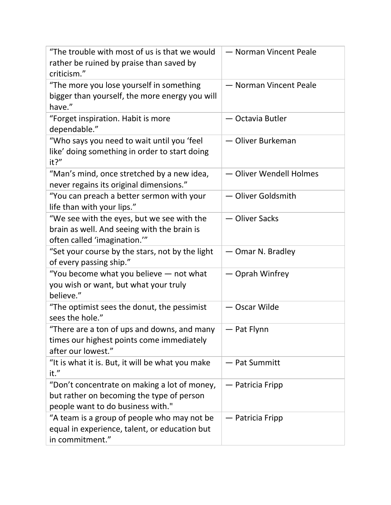| "The trouble with most of us is that we would<br>rather be ruined by praise than saved by<br>criticism."                       | - Norman Vincent Peale  |
|--------------------------------------------------------------------------------------------------------------------------------|-------------------------|
| "The more you lose yourself in something<br>bigger than yourself, the more energy you will<br>have."                           | - Norman Vincent Peale  |
| "Forget inspiration. Habit is more<br>dependable."                                                                             | — Octavia Butler        |
| "Who says you need to wait until you 'feel<br>like' doing something in order to start doing<br>it?"                            | - Oliver Burkeman       |
| "Man's mind, once stretched by a new idea,<br>never regains its original dimensions."                                          | - Oliver Wendell Holmes |
| "You can preach a better sermon with your<br>life than with your lips."                                                        | - Oliver Goldsmith      |
| "We see with the eyes, but we see with the<br>brain as well. And seeing with the brain is<br>often called 'imagination."       | - Oliver Sacks          |
| "Set your course by the stars, not by the light<br>of every passing ship."                                                     | - Omar N. Bradley       |
| "You become what you believe $-$ not what<br>you wish or want, but what your truly<br>believe."                                | — Oprah Winfrey         |
| "The optimist sees the donut, the pessimist<br>sees the hole."                                                                 | - Oscar Wilde           |
| "There are a ton of ups and downs, and many<br>times our highest points come immediately<br>after our lowest."                 | — Pat Flynn             |
| "It is what it is. But, it will be what you make<br>it."                                                                       | - Pat Summitt           |
| "Don't concentrate on making a lot of money,<br>but rather on becoming the type of person<br>people want to do business with." | — Patricia Fripp        |
| "A team is a group of people who may not be<br>equal in experience, talent, or education but<br>in commitment."                | — Patricia Fripp        |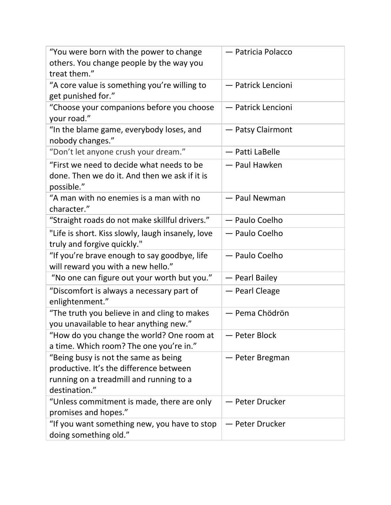| "You were born with the power to change<br>others. You change people by the way you                      | - Patricia Polacco |
|----------------------------------------------------------------------------------------------------------|--------------------|
| treat them."                                                                                             |                    |
| "A core value is something you're willing to<br>get punished for."                                       | - Patrick Lencioni |
| "Choose your companions before you choose<br>your road."                                                 | - Patrick Lencioni |
| "In the blame game, everybody loses, and<br>nobody changes."                                             | - Patsy Clairmont  |
| "Don't let anyone crush your dream."                                                                     | - Patti LaBelle    |
| "First we need to decide what needs to be<br>done. Then we do it. And then we ask if it is<br>possible." | - Paul Hawken      |
| "A man with no enemies is a man with no<br>character."                                                   | - Paul Newman      |
| "Straight roads do not make skillful drivers."                                                           | - Paulo Coelho     |
| "Life is short. Kiss slowly, laugh insanely, love<br>truly and forgive quickly."                         | - Paulo Coelho     |
| "If you're brave enough to say goodbye, life<br>will reward you with a new hello."                       | - Paulo Coelho     |
| "No one can figure out your worth but you."                                                              | - Pearl Bailey     |
| "Discomfort is always a necessary part of<br>enlightenment."                                             | - Pearl Cleage     |
| "The truth you believe in and cling to makes<br>you unavailable to hear anything new."                   | - Pema Chödrön     |
| "How do you change the world? One room at<br>a time. Which room? The one you're in."                     | - Peter Block      |
| "Being busy is not the same as being                                                                     | - Peter Bregman    |
| productive. It's the difference between                                                                  |                    |
| running on a treadmill and running to a<br>destination."                                                 |                    |
| "Unless commitment is made, there are only<br>promises and hopes."                                       | - Peter Drucker    |
| "If you want something new, you have to stop<br>doing something old."                                    | - Peter Drucker    |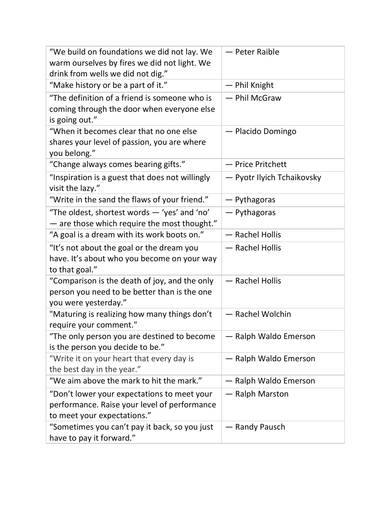| "We build on foundations we did not lay. We<br>warm ourselves by fires we did not light. We<br>drink from wells we did not dig." | - Peter Raible             |
|----------------------------------------------------------------------------------------------------------------------------------|----------------------------|
| "Make history or be a part of it."                                                                                               | - Phil Knight              |
| "The definition of a friend is someone who is<br>coming through the door when everyone else<br>is going out."                    | - Phil McGraw              |
| "When it becomes clear that no one else<br>shares your level of passion, you are where<br>you belong."                           | - Placido Domingo          |
| "Change always comes bearing gifts."                                                                                             | - Price Pritchett          |
| "Inspiration is a guest that does not willingly<br>visit the lazy."                                                              | - Pyotr Ilyich Tchaikovsky |
| "Write in the sand the flaws of your friend."                                                                                    | - Pythagoras               |
| "The oldest, shortest words $-$ 'yes' and 'no'<br>- are those which require the most thought."                                   | — Pythagoras               |
| "A goal is a dream with its work boots on."                                                                                      | - Rachel Hollis            |
| "It's not about the goal or the dream you<br>have. It's about who you become on your way<br>to that goal."                       | - Rachel Hollis            |
| "Comparison is the death of joy, and the only<br>person you need to be better than is the one<br>you were yesterday."            | - Rachel Hollis            |
| "Maturing is realizing how many things don't<br>require your comment."                                                           | - Rachel Wolchin           |
| "The only person you are destined to become<br>is the person you decide to be."                                                  | - Ralph Waldo Emerson      |
| "Write it on your heart that every day is<br>the best day in the year."                                                          | - Ralph Waldo Emerson      |
| "We aim above the mark to hit the mark."                                                                                         | — Ralph Waldo Emerson      |
| "Don't lower your expectations to meet your<br>performance. Raise your level of performance<br>to meet your expectations."       | - Ralph Marston            |
| "Sometimes you can't pay it back, so you just<br>have to pay it forward."                                                        | - Randy Pausch             |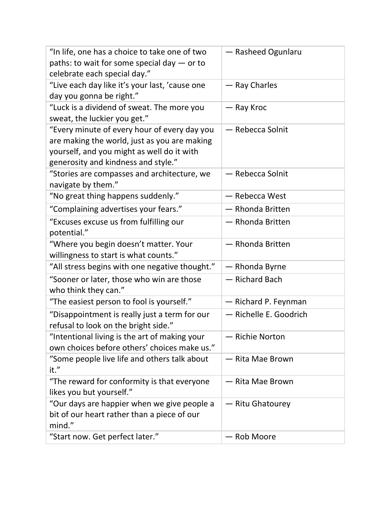| "In life, one has a choice to take one of two<br>paths: to wait for some special day $-$ or to<br>celebrate each special day."                                                    | - Rasheed Ogunlaru     |
|-----------------------------------------------------------------------------------------------------------------------------------------------------------------------------------|------------------------|
| "Live each day like it's your last, 'cause one<br>day you gonna be right."                                                                                                        | - Ray Charles          |
| "Luck is a dividend of sweat. The more you<br>sweat, the luckier you get."                                                                                                        | - Ray Kroc             |
| "Every minute of every hour of every day you<br>are making the world, just as you are making<br>yourself, and you might as well do it with<br>generosity and kindness and style." | - Rebecca Solnit       |
| "Stories are compasses and architecture, we<br>navigate by them."                                                                                                                 | - Rebecca Solnit       |
| "No great thing happens suddenly."                                                                                                                                                | - Rebecca West         |
| "Complaining advertises your fears."                                                                                                                                              | - Rhonda Britten       |
| "Excuses excuse us from fulfilling our<br>potential."                                                                                                                             | - Rhonda Britten       |
| "Where you begin doesn't matter. Your<br>willingness to start is what counts."                                                                                                    | - Rhonda Britten       |
| "All stress begins with one negative thought."                                                                                                                                    | — Rhonda Byrne         |
| "Sooner or later, those who win are those<br>who think they can."                                                                                                                 | - Richard Bach         |
| "The easiest person to fool is yourself."                                                                                                                                         | - Richard P. Feynman   |
| "Disappointment is really just a term for our<br>refusal to look on the bright side."                                                                                             | - Richelle E. Goodrich |
| "Intentional living is the art of making your<br>own choices before others' choices make us."                                                                                     | - Richie Norton        |
| "Some people live life and others talk about<br>it."                                                                                                                              | - Rita Mae Brown       |
| "The reward for conformity is that everyone<br>likes you but yourself."                                                                                                           | - Rita Mae Brown       |
| "Our days are happier when we give people a<br>bit of our heart rather than a piece of our<br>mind."                                                                              | - Ritu Ghatourey       |
| "Start now. Get perfect later."                                                                                                                                                   | — Rob Moore            |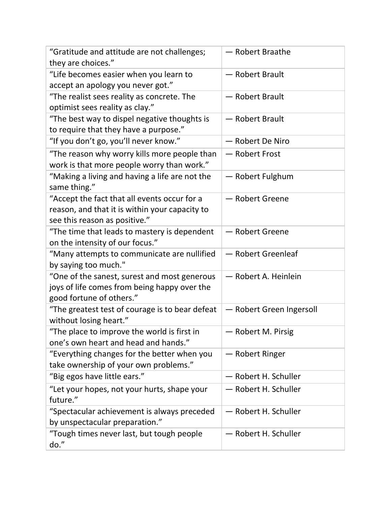| "Gratitude and attitude are not challenges;<br>they are choices."                                                               | - Robert Braathe         |
|---------------------------------------------------------------------------------------------------------------------------------|--------------------------|
| "Life becomes easier when you learn to<br>accept an apology you never got."                                                     | - Robert Brault          |
| "The realist sees reality as concrete. The<br>optimist sees reality as clay."                                                   | - Robert Brault          |
| "The best way to dispel negative thoughts is<br>to require that they have a purpose."                                           | - Robert Brault          |
| "If you don't go, you'll never know."                                                                                           | - Robert De Niro         |
| "The reason why worry kills more people than<br>work is that more people worry than work."                                      | - Robert Frost           |
| "Making a living and having a life are not the<br>same thing."                                                                  | - Robert Fulghum         |
| "Accept the fact that all events occur for a<br>reason, and that it is within your capacity to<br>see this reason as positive." | - Robert Greene          |
| "The time that leads to mastery is dependent<br>on the intensity of our focus."                                                 | - Robert Greene          |
| "Many attempts to communicate are nullified<br>by saying too much."                                                             | - Robert Greenleaf       |
| "One of the sanest, surest and most generous<br>joys of life comes from being happy over the<br>good fortune of others."        | - Robert A. Heinlein     |
| "The greatest test of courage is to bear defeat<br>without losing heart."                                                       | - Robert Green Ingersoll |
| "The place to improve the world is first in<br>one's own heart and head and hands."                                             | - Robert M. Pirsig       |
| "Everything changes for the better when you<br>take ownership of your own problems."                                            | - Robert Ringer          |
| "Big egos have little ears."                                                                                                    | - Robert H. Schuller     |
| "Let your hopes, not your hurts, shape your<br>future."                                                                         | - Robert H. Schuller     |
| "Spectacular achievement is always preceded<br>by unspectacular preparation."                                                   | - Robert H. Schuller     |
| "Tough times never last, but tough people<br>do."                                                                               | - Robert H. Schuller     |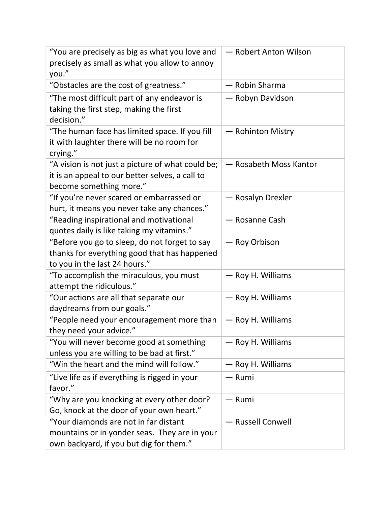| "You are precisely as big as what you love and<br>precisely as small as what you allow to annoy<br>you."                        | - Robert Anton Wilson  |
|---------------------------------------------------------------------------------------------------------------------------------|------------------------|
| "Obstacles are the cost of greatness."                                                                                          | - Robin Sharma         |
| "The most difficult part of any endeavor is<br>taking the first step, making the first<br>decision."                            | - Robyn Davidson       |
| "The human face has limited space. If you fill<br>it with laughter there will be no room for<br>crying."                        | - Rohinton Mistry      |
| "A vision is not just a picture of what could be;<br>it is an appeal to our better selves, a call to<br>become something more." | - Rosabeth Moss Kantor |
| "If you're never scared or embarrassed or<br>hurt, it means you never take any chances."                                        | - Rosalyn Drexler      |
| "Reading inspirational and motivational<br>quotes daily is like taking my vitamins."                                            | - Rosanne Cash         |
| "Before you go to sleep, do not forget to say<br>thanks for everything good that has happened<br>to you in the last 24 hours."  | - Roy Orbison          |
| "To accomplish the miraculous, you must<br>attempt the ridiculous."                                                             | — Roy H. Williams      |
| "Our actions are all that separate our<br>daydreams from our goals."                                                            | - Roy H. Williams      |
| "People need your encouragement more than<br>they need your advice."                                                            | - Roy H. Williams      |
| "You will never become good at something<br>unless you are willing to be bad at first."                                         | - Roy H. Williams      |
| "Win the heart and the mind will follow."                                                                                       | - Roy H. Williams      |
| "Live life as if everything is rigged in your<br>favor."                                                                        | $-$ Rumi               |
| "Why are you knocking at every other door?<br>Go, knock at the door of your own heart."                                         | — Rumi                 |
| "Your diamonds are not in far distant                                                                                           | - Russell Conwell      |
| mountains or in yonder seas. They are in your<br>own backyard, if you but dig for them."                                        |                        |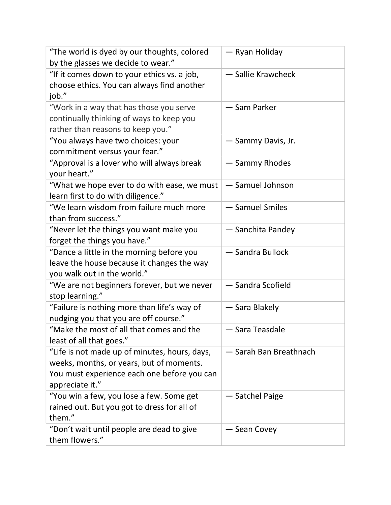| "The world is dyed by our thoughts, colored<br>by the glasses we decide to wear."                                                                           | — Ryan Holiday         |
|-------------------------------------------------------------------------------------------------------------------------------------------------------------|------------------------|
| "If it comes down to your ethics vs. a job,<br>choose ethics. You can always find another<br>job."                                                          | - Sallie Krawcheck     |
| "Work in a way that has those you serve<br>continually thinking of ways to keep you<br>rather than reasons to keep you."                                    | - Sam Parker           |
| "You always have two choices: your<br>commitment versus your fear."                                                                                         | - Sammy Davis, Jr.     |
| "Approval is a lover who will always break<br>your heart."                                                                                                  | - Sammy Rhodes         |
| "What we hope ever to do with ease, we must<br>learn first to do with diligence."                                                                           | - Samuel Johnson       |
| "We learn wisdom from failure much more<br>than from success."                                                                                              | - Samuel Smiles        |
| "Never let the things you want make you<br>forget the things you have."                                                                                     | - Sanchita Pandey      |
| "Dance a little in the morning before you<br>leave the house because it changes the way<br>you walk out in the world."                                      | - Sandra Bullock       |
| "We are not beginners forever, but we never<br>stop learning."                                                                                              | - Sandra Scofield      |
| "Failure is nothing more than life's way of<br>nudging you that you are off course."                                                                        | - Sara Blakely         |
| "Make the most of all that comes and the<br>least of all that goes."                                                                                        | — Sara Teasdale        |
| "Life is not made up of minutes, hours, days,<br>weeks, months, or years, but of moments.<br>You must experience each one before you can<br>appreciate it." | - Sarah Ban Breathnach |
| "You win a few, you lose a few. Some get<br>rained out. But you got to dress for all of<br>them."                                                           | - Satchel Paige        |
| "Don't wait until people are dead to give<br>them flowers."                                                                                                 | - Sean Covey           |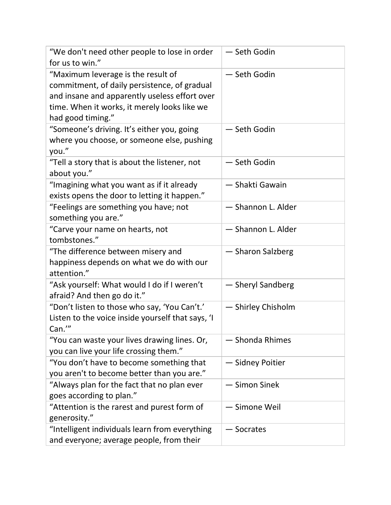| "We don't need other people to lose in order<br>for us to win."                                                                                                                                          | - Seth Godin       |
|----------------------------------------------------------------------------------------------------------------------------------------------------------------------------------------------------------|--------------------|
| "Maximum leverage is the result of<br>commitment, of daily persistence, of gradual<br>and insane and apparently useless effort over<br>time. When it works, it merely looks like we<br>had good timing." | — Seth Godin       |
| "Someone's driving. It's either you, going<br>where you choose, or someone else, pushing<br>you."                                                                                                        | — Seth Godin       |
| "Tell a story that is about the listener, not<br>about you."                                                                                                                                             | - Seth Godin       |
| "Imagining what you want as if it already<br>exists opens the door to letting it happen."                                                                                                                | — Shakti Gawain    |
| "Feelings are something you have; not<br>something you are."                                                                                                                                             | - Shannon L. Alder |
| "Carve your name on hearts, not<br>tombstones."                                                                                                                                                          | - Shannon L. Alder |
| "The difference between misery and<br>happiness depends on what we do with our<br>attention."                                                                                                            | - Sharon Salzberg  |
| "Ask yourself: What would I do if I weren't<br>afraid? And then go do it."                                                                                                                               | - Sheryl Sandberg  |
| "Don't listen to those who say, 'You Can't.'<br>Listen to the voice inside yourself that says, 'I<br>Can.'"                                                                                              | - Shirley Chisholm |
| "You can waste your lives drawing lines. Or,<br>you can live your life crossing them."                                                                                                                   | — Shonda Rhimes    |
| "You don't have to become something that<br>you aren't to become better than you are."                                                                                                                   | - Sidney Poitier   |
| "Always plan for the fact that no plan ever<br>goes according to plan."                                                                                                                                  | - Simon Sinek      |
| "Attention is the rarest and purest form of<br>generosity."                                                                                                                                              | - Simone Weil      |
| "Intelligent individuals learn from everything<br>and everyone; average people, from their                                                                                                               | - Socrates         |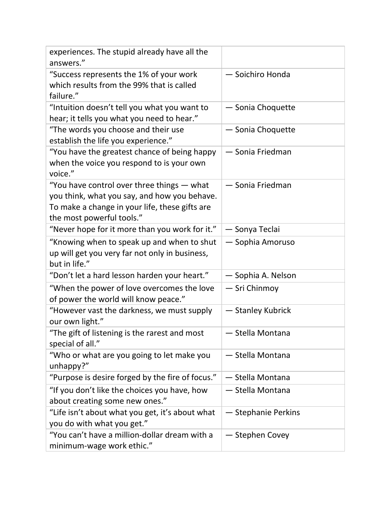| experiences. The stupid already have all the<br>answers."                                                                                                                 |                     |
|---------------------------------------------------------------------------------------------------------------------------------------------------------------------------|---------------------|
| "Success represents the 1% of your work<br>which results from the 99% that is called<br>failure."                                                                         | - Soichiro Honda    |
| "Intuition doesn't tell you what you want to<br>hear; it tells you what you need to hear."                                                                                | - Sonia Choquette   |
| "The words you choose and their use<br>establish the life you experience."                                                                                                | - Sonia Choquette   |
| "You have the greatest chance of being happy<br>when the voice you respond to is your own<br>voice."                                                                      | - Sonia Friedman    |
| "You have control over three things - what<br>you think, what you say, and how you behave.<br>To make a change in your life, these gifts are<br>the most powerful tools." | - Sonia Friedman    |
| "Never hope for it more than you work for it."                                                                                                                            | — Sonya Teclai      |
| "Knowing when to speak up and when to shut<br>up will get you very far not only in business,<br>but in life."                                                             | - Sophia Amoruso    |
| "Don't let a hard lesson harden your heart."                                                                                                                              | — Sophia A. Nelson  |
| "When the power of love overcomes the love<br>of power the world will know peace."                                                                                        | — Sri Chinmoy       |
| "However vast the darkness, we must supply<br>our own light."                                                                                                             | - Stanley Kubrick   |
| "The gift of listening is the rarest and most<br>special of all."                                                                                                         | — Stella Montana    |
| "Who or what are you going to let make you<br>unhappy?"                                                                                                                   | - Stella Montana    |
| "Purpose is desire forged by the fire of focus."                                                                                                                          | - Stella Montana    |
| "If you don't like the choices you have, how<br>about creating some new ones."                                                                                            | - Stella Montana    |
| "Life isn't about what you get, it's about what<br>you do with what you get."                                                                                             | - Stephanie Perkins |
| "You can't have a million-dollar dream with a<br>minimum-wage work ethic."                                                                                                | - Stephen Covey     |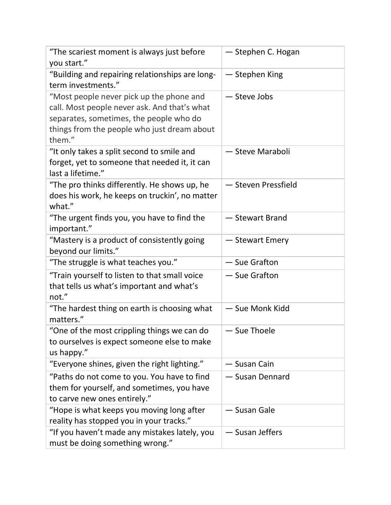| "The scariest moment is always just before<br>you start."                                                                                                                                    | - Stephen C. Hogan  |
|----------------------------------------------------------------------------------------------------------------------------------------------------------------------------------------------|---------------------|
| "Building and repairing relationships are long-<br>term investments."                                                                                                                        | - Stephen King      |
| "Most people never pick up the phone and<br>call. Most people never ask. And that's what<br>separates, sometimes, the people who do<br>things from the people who just dream about<br>them." | - Steve Jobs        |
| "It only takes a split second to smile and<br>forget, yet to someone that needed it, it can<br>last a lifetime."                                                                             | — Steve Maraboli    |
| "The pro thinks differently. He shows up, he<br>does his work, he keeps on truckin', no matter<br>what."                                                                                     | - Steven Pressfield |
| "The urgent finds you, you have to find the<br>important."                                                                                                                                   | - Stewart Brand     |
| "Mastery is a product of consistently going<br>beyond our limits."                                                                                                                           | - Stewart Emery     |
| "The struggle is what teaches you."                                                                                                                                                          | - Sue Grafton       |
| "Train yourself to listen to that small voice<br>that tells us what's important and what's<br>not."                                                                                          | - Sue Grafton       |
| "The hardest thing on earth is choosing what<br>matters."                                                                                                                                    | - Sue Monk Kidd     |
| "One of the most crippling things we can do<br>to ourselves is expect someone else to make<br>us happy."                                                                                     | — Sue Thoele        |
| "Everyone shines, given the right lighting."                                                                                                                                                 | - Susan Cain        |
| "Paths do not come to you. You have to find<br>them for yourself, and sometimes, you have<br>to carve new ones entirely."                                                                    | - Susan Dennard     |
| "Hope is what keeps you moving long after<br>reality has stopped you in your tracks."                                                                                                        | - Susan Gale        |
| "If you haven't made any mistakes lately, you<br>must be doing something wrong."                                                                                                             | - Susan Jeffers     |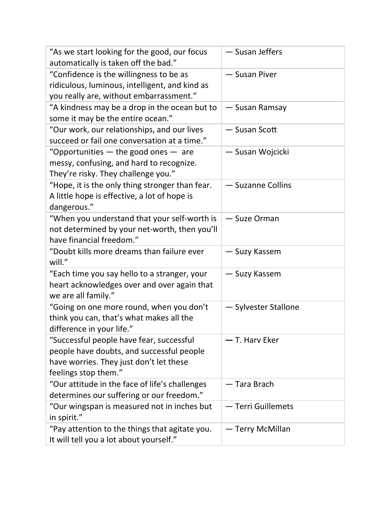| "As we start looking for the good, our focus<br>automatically is taken off the bad."                                                                     | - Susan Jeffers      |
|----------------------------------------------------------------------------------------------------------------------------------------------------------|----------------------|
| "Confidence is the willingness to be as<br>ridiculous, luminous, intelligent, and kind as<br>you really are, without embarrassment."                     | - Susan Piver        |
| "A kindness may be a drop in the ocean but to<br>some it may be the entire ocean."                                                                       | - Susan Ramsay       |
| "Our work, our relationships, and our lives<br>succeed or fail one conversation at a time."                                                              | - Susan Scott        |
| "Opportunities $-$ the good ones $-$ are<br>messy, confusing, and hard to recognize.<br>They're risky. They challenge you."                              | — Susan Wojcicki     |
| "Hope, it is the only thing stronger than fear.<br>A little hope is effective, a lot of hope is<br>dangerous."                                           | - Suzanne Collins    |
| "When you understand that your self-worth is<br>not determined by your net-worth, then you'll<br>have financial freedom."                                | - Suze Orman         |
| "Doubt kills more dreams than failure ever<br>will."                                                                                                     | - Suzy Kassem        |
| "Each time you say hello to a stranger, your<br>heart acknowledges over and over again that<br>we are all family."                                       | - Suzy Kassem        |
| "Going on one more round, when you don't<br>think you can, that's what makes all the<br>difference in your life."                                        | - Sylvester Stallone |
| "Successful people have fear, successful<br>people have doubts, and successful people<br>have worries. They just don't let these<br>feelings stop them." | - T. Harv Eker       |
| "Our attitude in the face of life's challenges<br>determines our suffering or our freedom."                                                              | - Tara Brach         |
| "Our wingspan is measured not in inches but<br>in spirit."                                                                                               | - Terri Guillemets   |
| "Pay attention to the things that agitate you.<br>It will tell you a lot about yourself."                                                                | — Terry McMillan     |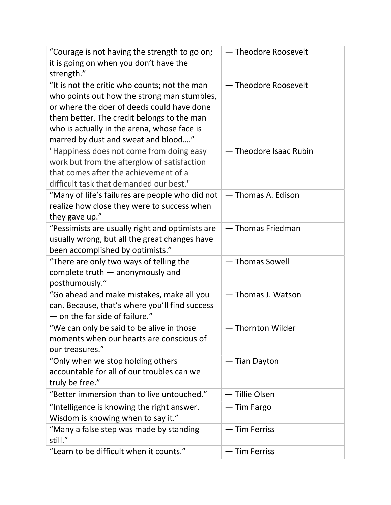| "Courage is not having the strength to go on;<br>it is going on when you don't have the<br>strength."                                                                                                                                                                          | - Theodore Roosevelt   |
|--------------------------------------------------------------------------------------------------------------------------------------------------------------------------------------------------------------------------------------------------------------------------------|------------------------|
| "It is not the critic who counts; not the man<br>who points out how the strong man stumbles,<br>or where the doer of deeds could have done<br>them better. The credit belongs to the man<br>who is actually in the arena, whose face is<br>marred by dust and sweat and blood" | - Theodore Roosevelt   |
| "Happiness does not come from doing easy<br>work but from the afterglow of satisfaction<br>that comes after the achievement of a<br>difficult task that demanded our best."                                                                                                    | - Theodore Isaac Rubin |
| "Many of life's failures are people who did not<br>realize how close they were to success when<br>they gave up."                                                                                                                                                               | - Thomas A. Edison     |
| "Pessimists are usually right and optimists are<br>usually wrong, but all the great changes have<br>been accomplished by optimists."                                                                                                                                           | - Thomas Friedman      |
| "There are only two ways of telling the<br>complete truth $-$ anonymously and<br>posthumously."                                                                                                                                                                                | - Thomas Sowell        |
| "Go ahead and make mistakes, make all you<br>can. Because, that's where you'll find success<br>- on the far side of failure."                                                                                                                                                  | - Thomas J. Watson     |
| "We can only be said to be alive in those<br>moments when our hearts are conscious of<br>our treasures."                                                                                                                                                                       | - Thornton Wilder      |
| "Only when we stop holding others<br>accountable for all of our troubles can we<br>truly be free."                                                                                                                                                                             | - Tian Dayton          |
| "Better immersion than to live untouched."                                                                                                                                                                                                                                     | - Tillie Olsen         |
| "Intelligence is knowing the right answer.<br>Wisdom is knowing when to say it."                                                                                                                                                                                               | — Tim Fargo            |
| "Many a false step was made by standing<br>still."                                                                                                                                                                                                                             | - Tim Ferriss          |
| "Learn to be difficult when it counts."                                                                                                                                                                                                                                        | <b>Tim Ferriss</b>     |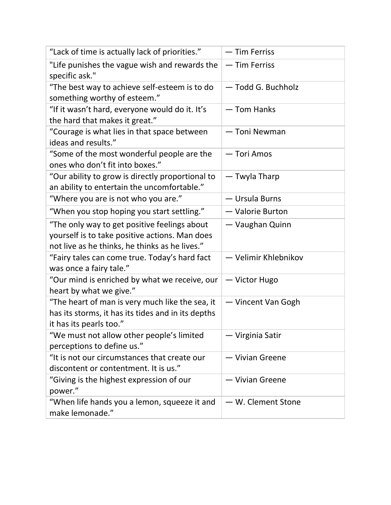| "Lack of time is actually lack of priorities."                                                                                                   | - Tim Ferriss        |
|--------------------------------------------------------------------------------------------------------------------------------------------------|----------------------|
| "Life punishes the vague wish and rewards the<br>specific ask."                                                                                  | - Tim Ferriss        |
| "The best way to achieve self-esteem is to do<br>something worthy of esteem."                                                                    | - Todd G. Buchholz   |
| "If it wasn't hard, everyone would do it. It's<br>the hard that makes it great."                                                                 | - Tom Hanks          |
| "Courage is what lies in that space between<br>ideas and results."                                                                               | - Toni Newman        |
| "Some of the most wonderful people are the<br>ones who don't fit into boxes."                                                                    | — Tori Amos          |
| "Our ability to grow is directly proportional to<br>an ability to entertain the uncomfortable."                                                  | — Twyla Tharp        |
| "Where you are is not who you are."                                                                                                              | - Ursula Burns       |
| "When you stop hoping you start settling."                                                                                                       | - Valorie Burton     |
| "The only way to get positive feelings about<br>yourself is to take positive actions. Man does<br>not live as he thinks, he thinks as he lives." | — Vaughan Quinn      |
| "Fairy tales can come true. Today's hard fact<br>was once a fairy tale."                                                                         | - Velimir Khlebnikov |
| "Our mind is enriched by what we receive, our<br>heart by what we give."                                                                         | - Victor Hugo        |
| "The heart of man is very much like the sea, it<br>has its storms, it has its tides and in its depths<br>it has its pearls too."                 | - Vincent Van Gogh   |
| "We must not allow other people's limited<br>perceptions to define us."                                                                          | - Virginia Satir     |
| "It is not our circumstances that create our<br>discontent or contentment. It is us."                                                            | - Vivian Greene      |
| "Giving is the highest expression of our<br>power."                                                                                              | - Vivian Greene      |
| "When life hands you a lemon, squeeze it and<br>make lemonade."                                                                                  | - W. Clement Stone   |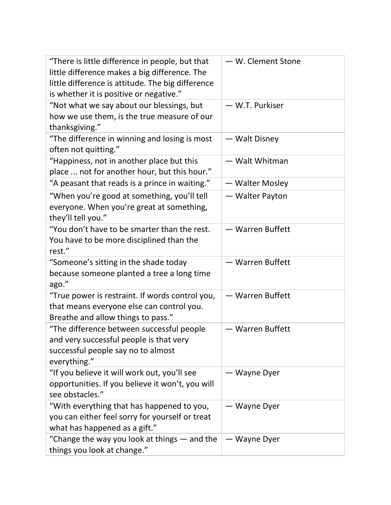| "There is little difference in people, but that<br>little difference makes a big difference. The<br>little difference is attitude. The big difference<br>is whether it is positive or negative." | - W. Clement Stone |
|--------------------------------------------------------------------------------------------------------------------------------------------------------------------------------------------------|--------------------|
| "Not what we say about our blessings, but<br>how we use them, is the true measure of our<br>thanksgiving."                                                                                       | - W.T. Purkiser    |
| "The difference in winning and losing is most<br>often not quitting."                                                                                                                            | - Walt Disney      |
| "Happiness, not in another place but this<br>place  not for another hour, but this hour."                                                                                                        | - Walt Whitman     |
| "A peasant that reads is a prince in waiting."                                                                                                                                                   | - Walter Mosley    |
| "When you're good at something, you'll tell<br>everyone. When you're great at something,<br>they'll tell you."                                                                                   | - Walter Payton    |
| "You don't have to be smarter than the rest.<br>You have to be more disciplined than the<br>rest."                                                                                               | - Warren Buffett   |
| "Someone's sitting in the shade today<br>because someone planted a tree a long time<br>ago."                                                                                                     | - Warren Buffett   |
| "True power is restraint. If words control you,<br>that means everyone else can control you.<br>Breathe and allow things to pass."                                                               | - Warren Buffett   |
| "The difference between successful people<br>and very successful people is that very<br>successful people say no to almost<br>everything."                                                       | - Warren Buffett   |
| "If you believe it will work out, you'll see<br>opportunities. If you believe it won't, you will<br>see obstacles."                                                                              | — Wayne Dyer       |
| "With everything that has happened to you,<br>you can either feel sorry for yourself or treat<br>what has happened as a gift."                                                                   | - Wayne Dyer       |
| "Change the way you look at things - and the<br>things you look at change."                                                                                                                      | — Wayne Dyer       |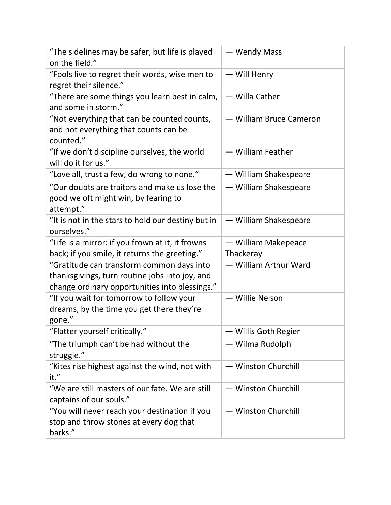| "The sidelines may be safer, but life is played<br>on the field."                                                                             | - Wendy Mass                     |
|-----------------------------------------------------------------------------------------------------------------------------------------------|----------------------------------|
| "Fools live to regret their words, wise men to<br>regret their silence."                                                                      | - Will Henry                     |
| "There are some things you learn best in calm,<br>and some in storm."                                                                         | - Willa Cather                   |
| "Not everything that can be counted counts,<br>and not everything that counts can be<br>counted."                                             | - William Bruce Cameron          |
| "If we don't discipline ourselves, the world<br>will do it for us."                                                                           | - William Feather                |
| "Love all, trust a few, do wrong to none."                                                                                                    | — William Shakespeare            |
| "Our doubts are traitors and make us lose the<br>good we oft might win, by fearing to<br>attempt."                                            | — William Shakespeare            |
| "It is not in the stars to hold our destiny but in<br>ourselves."                                                                             | - William Shakespeare            |
| "Life is a mirror: if you frown at it, it frowns<br>back; if you smile, it returns the greeting."                                             | - William Makepeace<br>Thackeray |
| "Gratitude can transform common days into<br>thanksgivings, turn routine jobs into joy, and<br>change ordinary opportunities into blessings." | - William Arthur Ward            |
| "If you wait for tomorrow to follow your<br>dreams, by the time you get there they're<br>gone."                                               | - Willie Nelson                  |
| "Flatter yourself critically."                                                                                                                | - Willis Goth Regier             |
| "The triumph can't be had without the<br>struggle."                                                                                           | — Wilma Rudolph                  |
| "Kites rise highest against the wind, not with<br>it."                                                                                        | - Winston Churchill              |
| "We are still masters of our fate. We are still<br>captains of our souls."                                                                    | - Winston Churchill              |
| "You will never reach your destination if you<br>stop and throw stones at every dog that<br>barks."                                           | - Winston Churchill              |